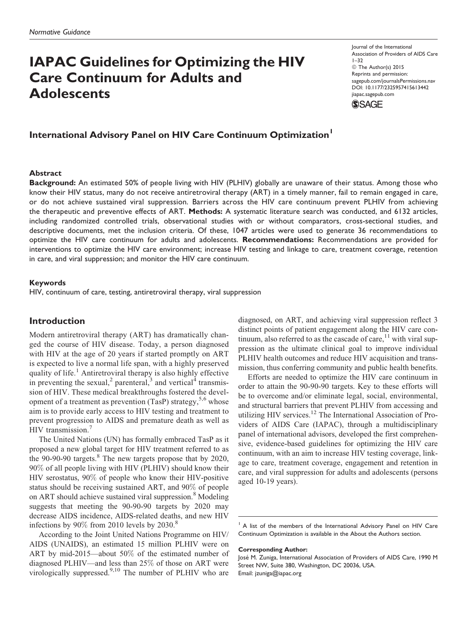# IAPAC Guidelines for Optimizing the HIV Care Continuum for Adults and **Adolescents**

Journal of the International Association of Providers of AIDS Care  $1 - 32$ © The Author(s) 2015 Reprints and permission: [sagepub.com/journalsPermissions.nav](http://www.sagepub.com/journalsPermissions.nav) DOI: 10.1177/2325957415613442 [jiapac.sagepub.com](http://www.jiapac.sagepub.com)

**SSAGE** 

# International Advisory Panel on HIV Care Continuum Optimization<sup>1</sup>

#### Abstract

Background: An estimated 50% of people living with HIV (PLHIV) globally are unaware of their status. Among those who know their HIV status, many do not receive antiretroviral therapy (ART) in a timely manner, fail to remain engaged in care, or do not achieve sustained viral suppression. Barriers across the HIV care continuum prevent PLHIV from achieving the therapeutic and preventive effects of ART. Methods: A systematic literature search was conducted, and 6132 articles, including randomized controlled trials, observational studies with or without comparators, cross-sectional studies, and descriptive documents, met the inclusion criteria. Of these, 1047 articles were used to generate 36 recommendations to optimize the HIV care continuum for adults and adolescents. Recommendations: Recommendations are provided for interventions to optimize the HIV care environment; increase HIV testing and linkage to care, treatment coverage, retention in care, and viral suppression; and monitor the HIV care continuum.

#### Keywords

HIV, continuum of care, testing, antiretroviral therapy, viral suppression

# Introduction

Modern antiretroviral therapy (ART) has dramatically changed the course of HIV disease. Today, a person diagnosed with HIV at the age of 20 years if started promptly on ART is expected to live a normal life span, with a highly preserved quality of life.<sup>1</sup> Antiretroviral therapy is also highly effective in preventing the sexual,<sup>2</sup> parenteral,<sup>3</sup> and vertical<sup>4</sup> transmission of HIV. These medical breakthroughs fostered the development of a treatment as prevention (TasP) strategy,<sup>5,6</sup> whose aim is to provide early access to HIV testing and treatment to prevent progression to AIDS and premature death as well as HIV transmission. $<sup>7</sup>$ </sup>

The United Nations (UN) has formally embraced TasP as it proposed a new global target for HIV treatment referred to as the 90-90-90 targets. $8$  The new targets propose that by 2020, 90% of all people living with HIV (PLHIV) should know their HIV serostatus, 90% of people who know their HIV-positive status should be receiving sustained ART, and 90% of people on ART should achieve sustained viral suppression.<sup>8</sup> Modeling suggests that meeting the 90-90-90 targets by 2020 may decrease AIDS incidence, AIDS-related deaths, and new HIV infections by  $90\%$  from 2010 levels by  $2030$ .<sup>8</sup>

According to the Joint United Nations Programme on HIV/ AIDS (UNAIDS), an estimated 15 million PLHIV were on ART by mid-2015—about 50% of the estimated number of diagnosed PLHIV—and less than 25% of those on ART were virologically suppressed.<sup>9,10</sup> The number of PLHIV who are

diagnosed, on ART, and achieving viral suppression reflect 3 distinct points of patient engagement along the HIV care continuum, also referred to as the cascade of care, $11$  with viral suppression as the ultimate clinical goal to improve individual PLHIV health outcomes and reduce HIV acquisition and transmission, thus conferring community and public health benefits.

Efforts are needed to optimize the HIV care continuum in order to attain the 90-90-90 targets. Key to these efforts will be to overcome and/or eliminate legal, social, environmental, and structural barriers that prevent PLHIV from accessing and utilizing HIV services.<sup>12</sup> The International Association of Providers of AIDS Care (IAPAC), through a multidisciplinary panel of international advisors, developed the first comprehensive, evidence-based guidelines for optimizing the HIV care continuum, with an aim to increase HIV testing coverage, linkage to care, treatment coverage, engagement and retention in care, and viral suppression for adults and adolescents (persons aged 10-19 years).

#### Corresponding Author:

<sup>&</sup>lt;sup>1</sup> A list of the members of the International Advisory Panel on HIV Care Continuum Optimization is available in the About the Authors section.

José M. Zuniga, International Association of Providers of AIDS Care, 1990 M Street NW, Suite 380, Washington, DC 20036, USA. Email: jzuniga@iapac.org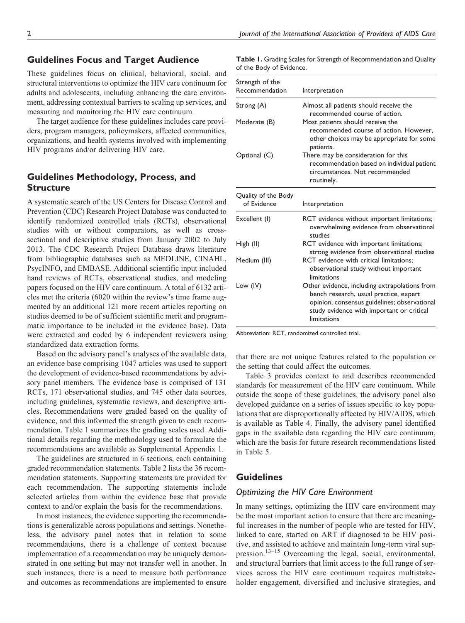# Guidelines Focus and Target Audience

These guidelines focus on clinical, behavioral, social, and structural interventions to optimize the HIV care continuum for adults and adolescents, including enhancing the care environment, addressing contextual barriers to scaling up services, and measuring and monitoring the HIV care continuum.

The target audience for these guidelines includes care providers, program managers, policymakers, affected communities, organizations, and health systems involved with implementing HIV programs and/or delivering HIV care.

# Guidelines Methodology, Process, and **Structure**

A systematic search of the US Centers for Disease Control and Prevention (CDC) Research Project Database was conducted to identify randomized controlled trials (RCTs), observational studies with or without comparators, as well as crosssectional and descriptive studies from January 2002 to July 2013. The CDC Research Project Database draws literature from bibliographic databases such as MEDLINE, CINAHL, PsycINFO, and EMBASE. Additional scientific input included hand reviews of RCTs, observational studies, and modeling papers focused on the HIV care continuum. A total of 6132 articles met the criteria (6020 within the review's time frame augmented by an additional 121 more recent articles reporting on studies deemed to be of sufficient scientific merit and programmatic importance to be included in the evidence base). Data were extracted and coded by 6 independent reviewers using standardized data extraction forms.

Based on the advisory panel's analyses of the available data, an evidence base comprising 1047 articles was used to support the development of evidence-based recommendations by advisory panel members. The evidence base is comprised of 131 RCTs, 171 observational studies, and 745 other data sources, including guidelines, systematic reviews, and descriptive articles. Recommendations were graded based on the quality of evidence, and this informed the strength given to each recommendation. Table 1 summarizes the grading scales used. Additional details regarding the methodology used to formulate the recommendations are available as Supplemental Appendix 1.

The guidelines are structured in 6 sections, each containing graded recommendation statements. Table 2 lists the 36 recommendation statements. Supporting statements are provided for each recommendation. The supporting statements include selected articles from within the evidence base that provide context to and/or explain the basis for the recommendations.

In most instances, the evidence supporting the recommendations is generalizable across populations and settings. Nonetheless, the advisory panel notes that in relation to some recommendations, there is a challenge of context because implementation of a recommendation may be uniquely demonstrated in one setting but may not transfer well in another. In such instances, there is a need to measure both performance and outcomes as recommendations are implemented to ensure

Table 1. Grading Scales for Strength of Recommendation and Quality of the Body of Evidence.

| Strength of the<br>Recommendation  | Interpretation                                                                                                                                                                                      |
|------------------------------------|-----------------------------------------------------------------------------------------------------------------------------------------------------------------------------------------------------|
| Strong (A)                         | Almost all patients should receive the<br>recommended course of action.                                                                                                                             |
| Moderate (B)                       | Most patients should receive the<br>recommended course of action. However,<br>other choices may be appropriate for some<br>patients.                                                                |
| Optional (C)                       | There may be consideration for this<br>recommendation based on individual patient<br>circumstances. Not recommended<br>routinely.                                                                   |
| Quality of the Body<br>of Evidence | Interpretation                                                                                                                                                                                      |
| Excellent (I)                      | RCT evidence without important limitations;<br>overwhelming evidence from observational<br>studies                                                                                                  |
| High (II)                          | RCT evidence with important limitations;<br>strong evidence from observational studies                                                                                                              |
| Medium (III)                       | RCT evidence with critical limitations:<br>observational study without important<br>limitations                                                                                                     |
| Low (IV)                           | Other evidence, including extrapolations from<br>bench research, usual practice, expert<br>opinion, consensus guidelines; observational<br>study evidence with important or critical<br>limitations |

Abbreviation: RCT, randomized controlled trial.

that there are not unique features related to the population or the setting that could affect the outcomes.

Table 3 provides context to and describes recommended standards for measurement of the HIV care continuum. While outside the scope of these guidelines, the advisory panel also developed guidance on a series of issues specific to key populations that are disproportionally affected by HIV/AIDS, which is available as Table 4. Finally, the advisory panel identified gaps in the available data regarding the HIV care continuum, which are the basis for future research recommendations listed in Table 5.

### **Guidelines**

### Optimizing the HIV Care Environment

In many settings, optimizing the HIV care environment may be the most important action to ensure that there are meaningful increases in the number of people who are tested for HIV, linked to care, started on ART if diagnosed to be HIV positive, and assisted to achieve and maintain long-term viral suppression.<sup>13–15</sup> Overcoming the legal, social, environmental, and structural barriers that limit access to the full range of services across the HIV care continuum requires multistakeholder engagement, diversified and inclusive strategies, and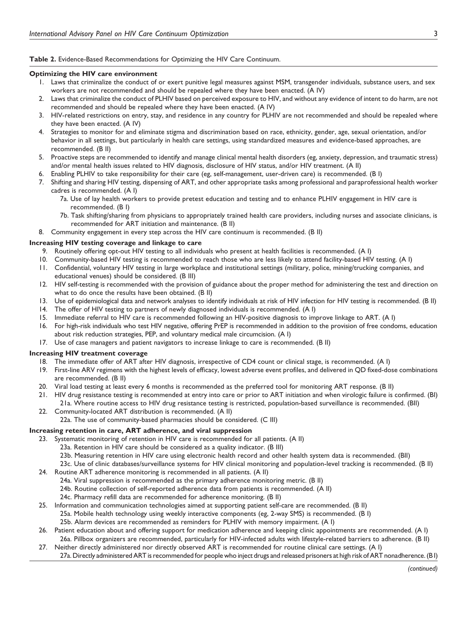#### Table 2. Evidence-Based Recommendations for Optimizing the HIV Care Continuum.

#### Optimizing the HIV care environment

- 1. Laws that criminalize the conduct of or exert punitive legal measures against MSM, transgender individuals, substance users, and sex workers are not recommended and should be repealed where they have been enacted. (A IV)
- 2. Laws that criminalize the conduct of PLHIV based on perceived exposure to HIV, and without any evidence of intent to do harm, are not recommended and should be repealed where they have been enacted. (A IV)
- 3. HIV-related restrictions on entry, stay, and residence in any country for PLHIV are not recommended and should be repealed where they have been enacted. (A IV)
- 4. Strategies to monitor for and eliminate stigma and discrimination based on race, ethnicity, gender, age, sexual orientation, and/or behavior in all settings, but particularly in health care settings, using standardized measures and evidence-based approaches, are recommended. (B II)
- 5. Proactive steps are recommended to identify and manage clinical mental health disorders (eg, anxiety, depression, and traumatic stress) and/or mental health issues related to HIV diagnosis, disclosure of HIV status, and/or HIV treatment. (A II)
- 6. Enabling PLHIV to take responsibility for their care (eg, self-management, user-driven care) is recommended. (B I)
- 7. Shifting and sharing HIV testing, dispensing of ART, and other appropriate tasks among professional and paraprofessional health worker cadres is recommended. (A I)
	- 7a. Use of lay health workers to provide pretest education and testing and to enhance PLHIV engagement in HIV care is recommended. (B I)
	- 7b. Task shifting/sharing from physicians to appropriately trained health care providers, including nurses and associate clinicians, is recommended for ART initiation and maintenance. (B II)
- 8. Community engagement in every step across the HIV care continuum is recommended. (B II)

#### Increasing HIV testing coverage and linkage to care

- 9. Routinely offering opt-out HIV testing to all individuals who present at health facilities is recommended. (A I)
- 10. Community-based HIV testing is recommended to reach those who are less likely to attend facility-based HIV testing. (A I)
- 11. Confidential, voluntary HIV testing in large workplace and institutional settings (military, police, mining/trucking companies, and educational venues) should be considered. (B III)
- 12. HIV self-testing is recommended with the provision of guidance about the proper method for administering the test and direction on what to do once the results have been obtained. (B II)
- 13. Use of epidemiological data and network analyses to identify individuals at risk of HIV infection for HIV testing is recommended. (B II)
- 14. The offer of HIV testing to partners of newly diagnosed individuals is recommended. (A I)
- 15. Immediate referral to HIV care is recommended following an HIV-positive diagnosis to improve linkage to ART. (A I)
- 16. For high-risk individuals who test HIV negative, offering PrEP is recommended in addition to the provision of free condoms, education about risk reduction strategies, PEP, and voluntary medical male circumcision. (A I)
- 17. Use of case managers and patient navigators to increase linkage to care is recommended. (B II)

#### Increasing HIV treatment coverage

- 18. The immediate offer of ART after HIV diagnosis, irrespective of CD4 count or clinical stage, is recommended. (A I)
- 19. First-line ARV regimens with the highest levels of efficacy, lowest adverse event profiles, and delivered in QD fixed-dose combinations are recommended. (B II)
- 20. Viral load testing at least every 6 months is recommended as the preferred tool for monitoring ART response. (B II)
- 21. HIV drug resistance testing is recommended at entry into care or prior to ART initiation and when virologic failure is confirmed. (BI) 21a. Where routine access to HIV drug resistance testing is restricted, population-based surveillance is recommended. (BII)
- 22. Community-located ART distribution is recommended. (A II)
	- 22a. The use of community-based pharmacies should be considered. (C III)

#### Increasing retention in care, ART adherence, and viral suppression

- 23. Systematic monitoring of retention in HIV care is recommended for all patients. (A II)
	- 23a. Retention in HIV care should be considered as a quality indicator. (B III)
	- 23b. Measuring retention in HIV care using electronic health record and other health system data is recommended. (BII)
- 23c. Use of clinic databases/surveillance systems for HIV clinical monitoring and population-level tracking is recommended. (B II) 24. Routine ART adherence monitoring is recommended in all patients. (A II)
	- 24a. Viral suppression is recommended as the primary adherence monitoring metric. (B II)
		- 24b. Routine collection of self-reported adherence data from patients is recommended. (A II)
		- 24c. Pharmacy refill data are recommended for adherence monitoring. (B II)
- 25. Information and communication technologies aimed at supporting patient self-care are recommended. (B II) 25a. Mobile health technology using weekly interactive components (eg, 2-way SMS) is recommended. (B I) 25b. Alarm devices are recommended as reminders for PLHIV with memory impairment. (A I)
	-
- 26. Patient education about and offering support for medication adherence and keeping clinic appointments are recommended. (A I) 26a. Pillbox organizers are recommended, particularly for HIV-infected adults with lifestyle-related barriers to adherence. (B II)
- 27. Neither directly administered nor directly observed ART is recommended for routine clinical care settings. (A I) 27a. Directly administered ART is recommended for people who inject drugs and released prisoners at high risk of ART nonadherence. (B I)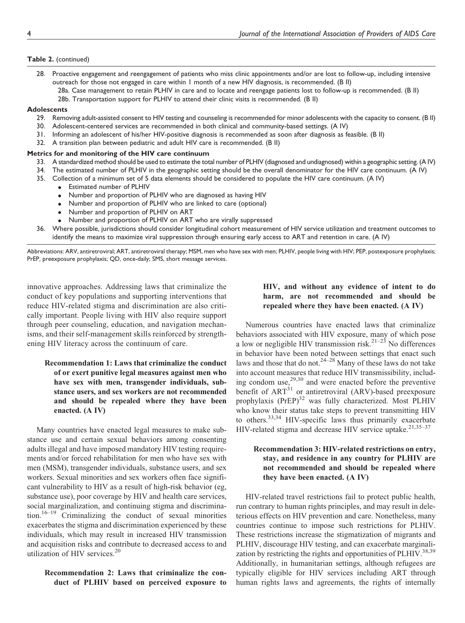#### Table 2. (continued)

- 28. Proactive engagement and reengagement of patients who miss clinic appointments and/or are lost to follow-up, including intensive outreach for those not engaged in care within 1 month of a new HIV diagnosis, is recommended. (B II)
	- 28a. Case management to retain PLHIV in care and to locate and reengage patients lost to follow-up is recommended. (B II) 28b. Transportation support for PLHIV to attend their clinic visits is recommended. (B II)

#### **Adolescents**

- 29. Removing adult-assisted consent to HIV testing and counseling is recommended for minor adolescents with the capacity to consent. (B II)
- 30. Adolescent-centered services are recommended in both clinical and community-based settings. (A IV)
- 31. Informing an adolescent of his/her HIV-positive diagnosis is recommended as soon after diagnosis as feasible. (B II)
- 32. A transition plan between pediatric and adult HIV care is recommended. (B II)

#### Metrics for and monitoring of the HIV care continuum

- 33. A standardized method should be used to estimate the total number of PLHIV (diagnosed and undiagnosed) within a geographic setting. (A IV)
- 34. The estimated number of PLHIV in the geographic setting should be the overall denominator for the HIV care continuum. (A IV)
- 35. Collection of a minimum set of 5 data elements should be considered to populate the HIV care continuum. (A IV)
	- $\bullet$ Estimated number of PLHIV
	- $\bullet$ Number and proportion of PLHIV who are diagnosed as having HIV
	- $\bullet$ Number and proportion of PLHIV who are linked to care (optional)
	- $\bullet$ Number and proportion of PLHIV on ART
	- Number and proportion of PLHIV on ART who are virally suppressed
- 36. Where possible, jurisdictions should consider longitudinal cohort measurement of HIV service utilization and treatment outcomes to identify the means to maximize viral suppression through ensuring early access to ART and retention in care. (A IV)

Abbreviations: ARV, antiretroviral; ART, antiretroviral therapy; MSM, men who have sex with men; PLHIV, people living with HIV; PEP, postexposure prophylaxis; PrEP, preexposure prophylaxis; QD, once-daily; SMS, short message services.

innovative approaches. Addressing laws that criminalize the conduct of key populations and supporting interventions that reduce HIV-related stigma and discrimination are also critically important. People living with HIV also require support through peer counseling, education, and navigation mechanisms, and their self-management skills reinforced by strengthening HIV literacy across the continuum of care.

# Recommendation 1: Laws that criminalize the conduct of or exert punitive legal measures against men who have sex with men, transgender individuals, substance users, and sex workers are not recommended and should be repealed where they have been enacted. (A IV)

Many countries have enacted legal measures to make substance use and certain sexual behaviors among consenting adults illegal and have imposed mandatory HIV testing requirements and/or forced rehabilitation for men who have sex with men (MSM), transgender individuals, substance users, and sex workers. Sexual minorities and sex workers often face significant vulnerability to HIV as a result of high-risk behavior (eg, substance use), poor coverage by HIV and health care services, social marginalization, and continuing stigma and discrimination.<sup>16–19</sup> Criminalizing the conduct of sexual minorities exacerbates the stigma and discrimination experienced by these individuals, which may result in increased HIV transmission and acquisition risks and contribute to decreased access to and utilization of HIV services. $20$ 

Recommendation 2: Laws that criminalize the conduct of PLHIV based on perceived exposure to

### HIV, and without any evidence of intent to do harm, are not recommended and should be repealed where they have been enacted. (A IV)

Numerous countries have enacted laws that criminalize behaviors associated with HIV exposure, many of which pose a low or negligible HIV transmission risk.<sup>21–23</sup> No differences in behavior have been noted between settings that enact such laws and those that do not.<sup>24–28</sup> Many of these laws do not take into account measures that reduce HIV transmissibility, including condom use, $29,30$  and were enacted before the preventive benefit of ART<sup>31</sup> or antiretroviral (ARV)-based preexposure prophylaxis  $(PrEP)^{32}$  was fully characterized. Most PLHIV who know their status take steps to prevent transmitting HIV to others.<sup>33,34</sup> HIV-specific laws thus primarily exacerbate HIV-related stigma and decrease HIV service uptake.<sup>21,35-37</sup>

### Recommendation 3: HIV-related restrictions on entry, stay, and residence in any country for PLHIV are not recommended and should be repealed where they have been enacted. (A IV)

HIV-related travel restrictions fail to protect public health, run contrary to human rights principles, and may result in deleterious effects on HIV prevention and care. Nonetheless, many countries continue to impose such restrictions for PLHIV. These restrictions increase the stigmatization of migrants and PLHIV, discourage HIV testing, and can exacerbate marginalization by restricting the rights and opportunities of PLHIV.<sup>38,39</sup> Additionally, in humanitarian settings, although refugees are typically eligible for HIV services including ART through human rights laws and agreements, the rights of internally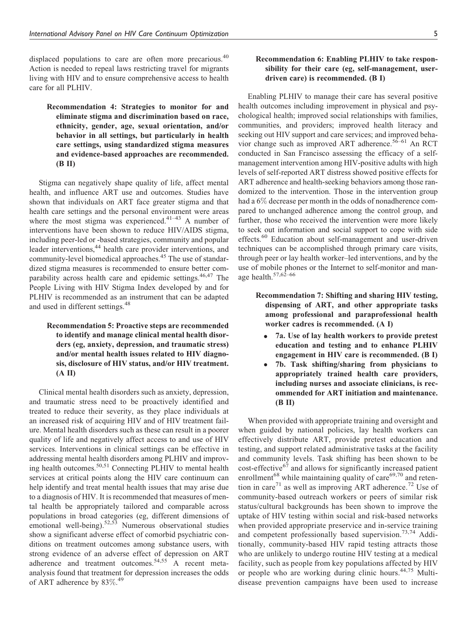displaced populations to care are often more precarious.<sup>40</sup> Action is needed to repeal laws restricting travel for migrants living with HIV and to ensure comprehensive access to health care for all PLHIV.

Recommendation 4: Strategies to monitor for and eliminate stigma and discrimination based on race, ethnicity, gender, age, sexual orientation, and/or behavior in all settings, but particularly in health care settings, using standardized stigma measures and evidence-based approaches are recommended. (B II)

Stigma can negatively shape quality of life, affect mental health, and influence ART use and outcomes. Studies have shown that individuals on ART face greater stigma and that health care settings and the personal environment were areas where the most stigma was experienced.<sup>41–43</sup> A number of interventions have been shown to reduce HIV/AIDS stigma, including peer-led or -based strategies, community and popular leader interventions,<sup>44</sup> health care provider interventions, and community-level biomedical approaches.<sup>45</sup> The use of standardized stigma measures is recommended to ensure better comparability across health care and epidemic settings.<sup>46,47</sup> The People Living with HIV Stigma Index developed by and for PLHIV is recommended as an instrument that can be adapted and used in different settings.<sup>48</sup>

Recommendation 5: Proactive steps are recommended to identify and manage clinical mental health disorders (eg, anxiety, depression, and traumatic stress) and/or mental health issues related to HIV diagnosis, disclosure of HIV status, and/or HIV treatment. (A II)

Clinical mental health disorders such as anxiety, depression, and traumatic stress need to be proactively identified and treated to reduce their severity, as they place individuals at an increased risk of acquiring HIV and of HIV treatment failure. Mental health disorders such as these can result in a poorer quality of life and negatively affect access to and use of HIV services. Interventions in clinical settings can be effective in addressing mental health disorders among PLHIV and improving health outcomes.50,51 Connecting PLHIV to mental health services at critical points along the HIV care continuum can help identify and treat mental health issues that may arise due to a diagnosis of HIV. It is recommended that measures of mental health be appropriately tailored and comparable across populations in broad categories (eg, different dimensions of emotional well-being).<sup>52,53</sup> Numerous observational studies show a significant adverse effect of comorbid psychiatric conditions on treatment outcomes among substance users, with strong evidence of an adverse effect of depression on ART adherence and treatment outcomes.<sup>54,55</sup> A recent metaanalysis found that treatment for depression increases the odds of ART adherence by 83%.<sup>49</sup>

### Recommendation 6: Enabling PLHIV to take responsibility for their care (eg, self-management, userdriven care) is recommended. (B I)

Enabling PLHIV to manage their care has several positive health outcomes including improvement in physical and psychological health; improved social relationships with families, communities, and providers; improved health literacy and seeking out HIV support and care services; and improved behavior change such as improved ART adherence.<sup>56-61</sup> An RCT conducted in San Francisco assessing the efficacy of a selfmanagement intervention among HIV-positive adults with high levels of self-reported ART distress showed positive effects for ART adherence and health-seeking behaviors among those randomized to the intervention. Those in the intervention group had a 6\% decrease per month in the odds of nonadherence compared to unchanged adherence among the control group, and further, those who received the intervention were more likely to seek out information and social support to cope with side effects.<sup>60</sup> Education about self-management and user-driven techniques can be accomplished through primary care visits, through peer or lay health worker–led interventions, and by the use of mobile phones or the Internet to self-monitor and manage health. $57,62-66$ 

- Recommendation 7: Shifting and sharing HIV testing, dispensing of ART, and other appropriate tasks among professional and paraprofessional health worker cadres is recommended. (A I)
	- $\bullet$  7a. Use of lay health workers to provide pretest education and testing and to enhance PLHIV engagement in HIV care is recommended. (B I)
	- $\bullet$  7b. Task shifting/sharing from physicians to appropriately trained health care providers, including nurses and associate clinicians, is recommended for ART initiation and maintenance. (B II)

When provided with appropriate training and oversight and when guided by national policies, lay health workers can effectively distribute ART, provide pretest education and testing, and support related administrative tasks at the facility and community levels. Task shifting has been shown to be cost-effective<sup>67</sup> and allows for significantly increased patient enrollment<sup>68</sup> while maintaining quality of care<sup>69,70</sup> and retention in care<sup>71</sup> as well as improving ART adherence.<sup>72</sup> Use of community-based outreach workers or peers of similar risk status/cultural backgrounds has been shown to improve the uptake of HIV testing within social and risk-based networks when provided appropriate preservice and in-service training and competent professionally based supervision.<sup>73,74</sup> Additionally, community-based HIV rapid testing attracts those who are unlikely to undergo routine HIV testing at a medical facility, such as people from key populations affected by HIV or people who are working during clinic hours. $44,75$  Multidisease prevention campaigns have been used to increase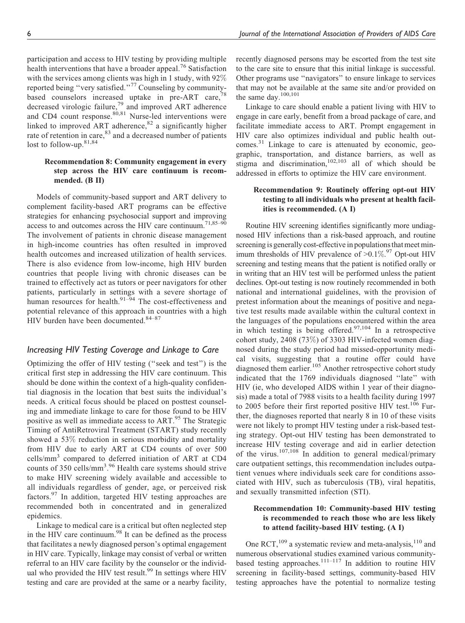participation and access to HIV testing by providing multiple health interventions that have a broader appeal.<sup>76</sup> Satisfaction with the services among clients was high in 1 study, with 92% reported being "very satisfied."<sup>77</sup> Counseling by communitybased counselors increased uptake in pre-ART care,<sup>78</sup> decreased virologic failure,<sup>79</sup> and improved ART adherence and CD4 count response.<sup>80,81</sup> Nurse-led interventions were linked to improved ART adherence, $82$  a significantly higher rate of retention in care,<sup>83</sup> and a decreased number of patients lost to follow-up.<sup>81,84</sup>

### Recommendation 8: Community engagement in every step across the HIV care continuum is recommended. (B II)

Models of community-based support and ART delivery to complement facility-based ART programs can be effective strategies for enhancing psychosocial support and improving access to and outcomes across the HIV care continuum.<sup>71,85–90</sup> The involvement of patients in chronic disease management in high-income countries has often resulted in improved health outcomes and increased utilization of health services. There is also evidence from low-income, high HIV burden countries that people living with chronic diseases can be trained to effectively act as tutors or peer navigators for other patients, particularly in settings with a severe shortage of human resources for health. $91-94$  The cost-effectiveness and potential relevance of this approach in countries with a high HIV burden have been documented. $84-87$ 

# Increasing HIV Testing Coverage and Linkage to Care

Optimizing the offer of HIV testing (''seek and test'') is the critical first step in addressing the HIV care continuum. This should be done within the context of a high-quality confidential diagnosis in the location that best suits the individual's needs. A critical focus should be placed on posttest counseling and immediate linkage to care for those found to be HIV positive as well as immediate access to ART.<sup>95</sup> The Strategic Timing of AntiRetroviral Treatment (START) study recently showed a 53% reduction in serious morbidity and mortality from HIV due to early ART at CD4 counts of over 500 cells/mm<sup>3</sup> compared to deferred initiation of ART at CD4 counts of 350 cells/mm<sup>3</sup>.<sup>96</sup> Health care systems should strive to make HIV screening widely available and accessible to all individuals regardless of gender, age, or perceived risk factors.<sup>97</sup> In addition, targeted HIV testing approaches are recommended both in concentrated and in generalized epidemics.

Linkage to medical care is a critical but often neglected step in the HIV care continuum.<sup>98</sup> It can be defined as the process that facilitates a newly diagnosed person's optimal engagement in HIV care. Typically, linkage may consist of verbal or written referral to an HIV care facility by the counselor or the individual who provided the HIV test result.<sup>99</sup> In settings where HIV testing and care are provided at the same or a nearby facility,

recently diagnosed persons may be escorted from the test site to the care site to ensure that this initial linkage is successful. Other programs use ''navigators'' to ensure linkage to services that may not be available at the same site and/or provided on the same day.100,101

Linkage to care should enable a patient living with HIV to engage in care early, benefit from a broad package of care, and facilitate immediate access to ART. Prompt engagement in HIV care also optimizes individual and public health outcomes.<sup>31</sup> Linkage to care is attenuated by economic, geographic, transportation, and distance barriers, as well as stigma and discrimination, $102,103$  all of which should be addressed in efforts to optimize the HIV care environment.

#### Recommendation 9: Routinely offering opt-out HIV testing to all individuals who present at health facilities is recommended. (A I)

Routine HIV screening identifies significantly more undiagnosed HIV infections than a risk-based approach, and routine screening is generally cost-effective in populations that meet minimum thresholds of HIV prevalence of >0.1%.<sup>97</sup> Opt-out HIV screening and testing means that the patient is notified orally or in writing that an HIV test will be performed unless the patient declines. Opt-out testing is now routinely recommended in both national and international guidelines, with the provision of pretest information about the meanings of positive and negative test results made available within the cultural context in the languages of the populations encountered within the area in which testing is being offered. $97,104$  In a retrospective cohort study, 2408 (73%) of 3303 HIV-infected women diagnosed during the study period had missed-opportunity medical visits, suggesting that a routine offer could have diagnosed them earlier.<sup>105</sup> Another retrospective cohort study indicated that the 1769 individuals diagnosed ''late'' with HIV (ie, who developed AIDS within 1 year of their diagnosis) made a total of 7988 visits to a health facility during 1997 to 2005 before their first reported positive HIV test.<sup>106</sup> Further, the diagnoses reported that nearly 8 in 10 of these visits were not likely to prompt HIV testing under a risk-based testing strategy. Opt-out HIV testing has been demonstrated to increase HIV testing coverage and aid in earlier detection of the virus.<sup>107,108</sup> In addition to general medical/primary care outpatient settings, this recommendation includes outpatient venues where individuals seek care for conditions associated with HIV, such as tuberculosis (TB), viral hepatitis, and sexually transmitted infection (STI).

### Recommendation 10: Community-based HIV testing is recommended to reach those who are less likely to attend facility-based HIV testing. (A I)

One RCT,  $^{109}$  a systematic review and meta-analysis,  $^{110}$  and numerous observational studies examined various communitybased testing approaches. $\frac{111-117}{100}$  In addition to routine HIV screening in facility-based settings, community-based HIV testing approaches have the potential to normalize testing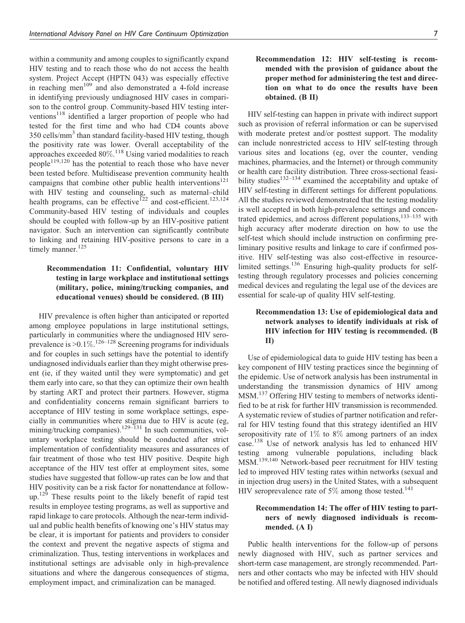within a community and among couples to significantly expand HIV testing and to reach those who do not access the health system. Project Accept (HPTN 043) was especially effective in reaching men<sup>109</sup> and also demonstrated a 4-fold increase in identifying previously undiagnosed HIV cases in comparison to the control group. Community-based HIV testing interventions<sup>118</sup> identified a larger proportion of people who had tested for the first time and who had CD4 counts above 350 cells/mm<sup>3</sup> than standard facility-based HIV testing, though the positivity rate was lower. Overall acceptability of the approaches exceeded  $80\%$ .<sup>118</sup> Using varied modalities to reach people<sup>119,120</sup> has the potential to reach those who have never been tested before. Multidisease prevention community health campaigns that combine other public health interventions<sup>121</sup> with HIV testing and counseling, such as maternal–child health programs, can be effective<sup>122</sup> and cost-efficient.<sup>123,124</sup> Community-based HIV testing of individuals and couples should be coupled with follow-up by an HIV-positive patient navigator. Such an intervention can significantly contribute to linking and retaining HIV-positive persons to care in a timely manner. $125$ 

# Recommendation 11: Confidential, voluntary HIV testing in large workplace and institutional settings (military, police, mining/trucking companies, and educational venues) should be considered. (B III)

HIV prevalence is often higher than anticipated or reported among employee populations in large institutional settings, particularly in communities where the undiagnosed HIV seroprevalence is  $> 0.1\%$ . <sup>126–128</sup> Screening programs for individuals and for couples in such settings have the potential to identify undiagnosed individuals earlier than they might otherwise present (ie, if they waited until they were symptomatic) and get them early into care, so that they can optimize their own health by starting ART and protect their partners. However, stigma and confidentiality concerns remain significant barriers to acceptance of HIV testing in some workplace settings, especially in communities where stigma due to HIV is acute (eg, mining/trucking companies).<sup>129–131</sup> In such communities, voluntary workplace testing should be conducted after strict implementation of confidentiality measures and assurances of fair treatment of those who test HIV positive. Despite high acceptance of the HIV test offer at employment sites, some studies have suggested that follow-up rates can be low and that HIV positivity can be a risk factor for nonattendance at followup.<sup>129</sup> These results point to the likely benefit of rapid test results in employee testing programs, as well as supportive and rapid linkage to care protocols. Although the near-term individual and public health benefits of knowing one's HIV status may be clear, it is important for patients and providers to consider the context and prevent the negative aspects of stigma and criminalization. Thus, testing interventions in workplaces and institutional settings are advisable only in high-prevalence situations and where the dangerous consequences of stigma, employment impact, and criminalization can be managed.

# Recommendation 12: HIV self-testing is recommended with the provision of guidance about the proper method for administering the test and direction on what to do once the results have been obtained. (B II)

HIV self-testing can happen in private with indirect support such as provision of referral information or can be supervised with moderate pretest and/or posttest support. The modality can include nonrestricted access to HIV self-testing through various sites and locations (eg, over the counter, vending machines, pharmacies, and the Internet) or through community or health care facility distribution. Three cross-sectional feasibility studies<sup>132–134</sup> examined the acceptability and uptake of HIV self-testing in different settings for different populations. All the studies reviewed demonstrated that the testing modality is well accepted in both high-prevalence settings and concentrated epidemics, and across different populations, $133-135$  with high accuracy after moderate direction on how to use the self-test which should include instruction on confirming preliminary positive results and linkage to care if confirmed positive. HIV self-testing was also cost-effective in resourcelimited settings.<sup>136</sup> Ensuring high-quality products for selftesting through regulatory processes and policies concerning medical devices and regulating the legal use of the devices are essential for scale-up of quality HIV self-testing.

# Recommendation 13: Use of epidemiological data and network analyses to identify individuals at risk of HIV infection for HIV testing is recommended. (B II)

Use of epidemiological data to guide HIV testing has been a key component of HIV testing practices since the beginning of the epidemic. Use of network analysis has been instrumental in understanding the transmission dynamics of HIV among MSM.<sup>137</sup> Offering HIV testing to members of networks identified to be at risk for further HIV transmission is recommended. A systematic review of studies of partner notification and referral for HIV testing found that this strategy identified an HIV seropositivity rate of  $1\%$  to  $8\%$  among partners of an index case.<sup>138</sup> Use of network analysis has led to enhanced HIV testing among vulnerable populations, including black MSM.139,140 Network-based peer recruitment for HIV testing led to improved HIV testing rates within networks (sexual and in injection drug users) in the United States, with a subsequent HIV seroprevalence rate of 5% among those tested.<sup>141</sup>

### Recommendation 14: The offer of HIV testing to partners of newly diagnosed individuals is recommended. (A I)

Public health interventions for the follow-up of persons newly diagnosed with HIV, such as partner services and short-term case management, are strongly recommended. Partners and other contacts who may be infected with HIV should be notified and offered testing. All newly diagnosed individuals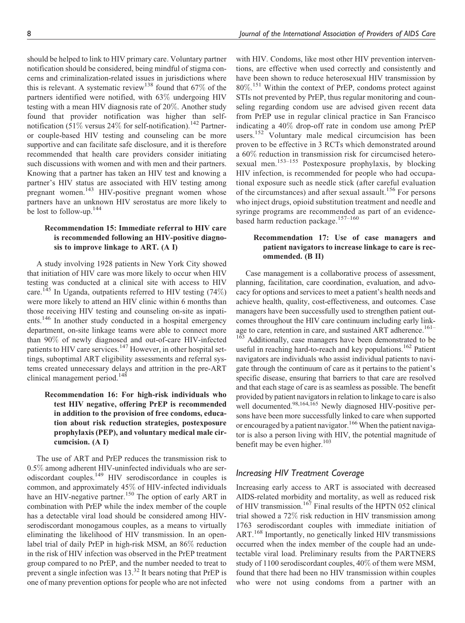should be helped to link to HIV primary care. Voluntary partner notification should be considered, being mindful of stigma concerns and criminalization-related issues in jurisdictions where this is relevant. A systematic review<sup>138</sup> found that  $67\%$  of the partners identified were notified, with 63% undergoing HIV testing with a mean HIV diagnosis rate of 20%. Another study found that provider notification was higher than selfnotification (51% versus 24% for self-notification).<sup>142</sup> Partneror couple-based HIV testing and counseling can be more supportive and can facilitate safe disclosure, and it is therefore recommended that health care providers consider initiating such discussions with women and with men and their partners. Knowing that a partner has taken an HIV test and knowing a partner's HIV status are associated with HIV testing among pregnant women.<sup>143</sup> HIV-positive pregnant women whose partners have an unknown HIV serostatus are more likely to be lost to follow-up.<sup>144</sup>

# Recommendation 15: Immediate referral to HIV care is recommended following an HIV-positive diagnosis to improve linkage to ART. (A I)

A study involving 1928 patients in New York City showed that initiation of HIV care was more likely to occur when HIV testing was conducted at a clinical site with access to HIV care.<sup>145</sup> In Uganda, outpatients referred to HIV testing  $(74\%)$ were more likely to attend an HIV clinic within 6 months than those receiving HIV testing and counseling on-site as inpatients.<sup>146</sup> In another study conducted in a hospital emergency department, on-site linkage teams were able to connect more than 90% of newly diagnosed and out-of-care HIV-infected patients to HIV care services.<sup>147</sup> However, in other hospital settings, suboptimal ART eligibility assessments and referral systems created unnecessary delays and attrition in the pre-ART clinical management period.<sup>148</sup>

# Recommendation 16: For high-risk individuals who test HIV negative, offering PrEP is recommended in addition to the provision of free condoms, education about risk reduction strategies, postexposure prophylaxis (PEP), and voluntary medical male circumcision. (A I)

The use of ART and PrEP reduces the transmission risk to 0.5% among adherent HIV-uninfected individuals who are serodiscordant couples.<sup>149</sup> HIV serodiscordance in couples is common, and approximately 45% of HIV-infected individuals have an HIV-negative partner.<sup>150</sup> The option of early ART in combination with PrEP while the index member of the couple has a detectable viral load should be considered among HIVserodiscordant monogamous couples, as a means to virtually eliminating the likelihood of HIV transmission. In an openlabel trial of daily PrEP in high-risk MSM, an 86% reduction in the risk of HIV infection was observed in the PrEP treatment group compared to no PrEP, and the number needed to treat to prevent a single infection was 13.<sup>32</sup> It bears noting that PrEP is one of many prevention options for people who are not infected

with HIV. Condoms, like most other HIV prevention interventions, are effective when used correctly and consistently and have been shown to reduce heterosexual HIV transmission by 80%. <sup>151</sup> Within the context of PrEP, condoms protect against STIs not prevented by PrEP, thus regular monitoring and counseling regarding condom use are advised given recent data from PrEP use in regular clinical practice in San Francisco indicating a 40% drop-off rate in condom use among PrEP users.<sup>152</sup> Voluntary male medical circumcision has been proven to be effective in 3 RCTs which demonstrated around a 60% reduction in transmission risk for circumcised heterosexual men.<sup>153–155</sup> Postexposure prophylaxis, by blocking HIV infection, is recommended for people who had occupational exposure such as needle stick (after careful evaluation of the circumstances) and after sexual assault.<sup>156</sup> For persons who inject drugs, opioid substitution treatment and needle and syringe programs are recommended as part of an evidencebased harm reduction package.157–160

# Recommendation 17: Use of case managers and patient navigators to increase linkage to care is recommended. (B II)

Case management is a collaborative process of assessment, planning, facilitation, care coordination, evaluation, and advocacy for options and services to meet a patient's health needs and achieve health, quality, cost-effectiveness, and outcomes. Case managers have been successfully used to strengthen patient outcomes throughout the HIV care continuum including early linkage to care, retention in care, and sustained ART adherence.<sup>161–</sup> Additionally, case managers have been demonstrated to be useful in reaching hard-to-reach and key populations.<sup>162</sup> Patient navigators are individuals who assist individual patients to navigate through the continuum of care as it pertains to the patient's specific disease, ensuring that barriers to that care are resolved and that each stage of care is as seamless as possible. The benefit provided by patient navigators in relation to linkage to care is also well documented.<sup>98,164,165</sup> Newly diagnosed HIV-positive persons have been more successfully linked to care when supported or encouraged by a patient navigator.<sup>166</sup> When the patient navigator is also a person living with HIV, the potential magnitude of benefit may be even higher.<sup>103</sup>

# Increasing HIV Treatment Coverage

Increasing early access to ART is associated with decreased AIDS-related morbidity and mortality, as well as reduced risk of HIV transmission.<sup>167</sup> Final results of the HPTN 052 clinical trial showed a 72% risk reduction in HIV transmission among 1763 serodiscordant couples with immediate initiation of ART.<sup>168</sup> Importantly, no genetically linked HIV transmissions occurred when the index member of the couple had an undetectable viral load. Preliminary results from the PARTNERS study of 1100 serodiscordant couples, 40% of them were MSM, found that there had been no HIV transmission within couples who were not using condoms from a partner with an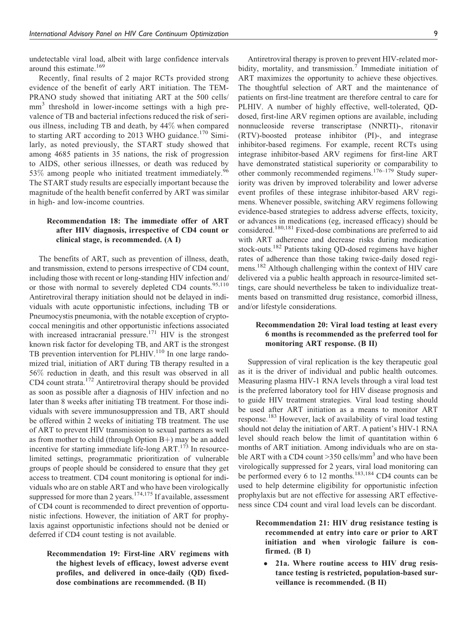undetectable viral load, albeit with large confidence intervals around this estimate.<sup>169</sup>

Recently, final results of 2 major RCTs provided strong evidence of the benefit of early ART initiation. The TEM-PRANO study showed that initiating ART at the 500 cells/ mm<sup>3</sup> threshold in lower-income settings with a high prevalence of TB and bacterial infections reduced the risk of serious illness, including TB and death, by 44% when compared to starting ART according to 2013 WHO guidance.<sup>170</sup> Similarly, as noted previously, the START study showed that among 4685 patients in 35 nations, the risk of progression to AIDS, other serious illnesses, or death was reduced by 53% among people who initiated treatment immediately.<sup>96</sup> The START study results are especially important because the magnitude of the health benefit conferred by ART was similar in high- and low-income countries.

### Recommendation 18: The immediate offer of ART after HIV diagnosis, irrespective of CD4 count or clinical stage, is recommended. (A I)

The benefits of ART, such as prevention of illness, death, and transmission, extend to persons irrespective of CD4 count, including those with recent or long-standing HIV infection and/ or those with normal to severely depleted CD4 counts.<sup>95,110</sup> Antiretroviral therapy initiation should not be delayed in individuals with acute opportunistic infections, including TB or Pneumocystis pneumonia, with the notable exception of cryptococcal meningitis and other opportunistic infections associated with increased intracranial pressure.<sup>171</sup> HIV is the strongest known risk factor for developing TB, and ART is the strongest TB prevention intervention for PLHIV.<sup>110</sup> In one large randomized trial, initiation of ART during TB therapy resulted in a 56% reduction in death, and this result was observed in all CD4 count strata.<sup>172</sup> Antiretroviral therapy should be provided as soon as possible after a diagnosis of HIV infection and no later than 8 weeks after initiating TB treatment. For those individuals with severe immunosuppression and TB, ART should be offered within 2 weeks of initiating TB treatment. The use of ART to prevent HIV transmission to sexual partners as well as from mother to child (through Option  $B<sub>+</sub>$ ) may be an added incentive for starting immediate life-long  $ART$ .<sup>173</sup> In resourcelimited settings, programmatic prioritization of vulnerable groups of people should be considered to ensure that they get access to treatment. CD4 count monitoring is optional for individuals who are on stable ART and who have been virologically suppressed for more than 2 years.<sup>174,175</sup> If available, assessment of CD4 count is recommended to direct prevention of opportunistic infections. However, the initiation of ART for prophylaxis against opportunistic infections should not be denied or deferred if CD4 count testing is not available.

Recommendation 19: First-line ARV regimens with the highest levels of efficacy, lowest adverse event profiles, and delivered in once-daily (QD) fixeddose combinations are recommended. (B II)

Antiretroviral therapy is proven to prevent HIV-related morbidity, mortality, and transmission.<sup>7</sup> Immediate initiation of ART maximizes the opportunity to achieve these objectives. The thoughtful selection of ART and the maintenance of patients on first-line treatment are therefore central to care for PLHIV. A number of highly effective, well-tolerated, QDdosed, first-line ARV regimen options are available, including nonnucleoside reverse transcriptase (NNRTI)-, ritonavir (RTV)-boosted protease inhibitor (PI)-, and integrase inhibitor-based regimens. For example, recent RCTs using integrase inhibitor-based ARV regimens for first-line ART have demonstrated statistical superiority or comparability to other commonly recommended regimens.<sup>176–179</sup> Study superiority was driven by improved tolerability and lower adverse event profiles of these integrase inhibitor-based ARV regimens. Whenever possible, switching ARV regimens following evidence-based strategies to address adverse effects, toxicity, or advances in medications (eg, increased efficacy) should be considered.180,181 Fixed-dose combinations are preferred to aid with ART adherence and decrease risks during medication stock-outs.<sup>182</sup> Patients taking OD-dosed regimens have higher rates of adherence than those taking twice-daily dosed regimens.<sup>182</sup> Although challenging within the context of HIV care delivered via a public health approach in resource-limited settings, care should nevertheless be taken to individualize treatments based on transmitted drug resistance, comorbid illness, and/or lifestyle considerations.

### Recommendation 20: Viral load testing at least every 6 months is recommended as the preferred tool for monitoring ART response. (B II)

Suppression of viral replication is the key therapeutic goal as it is the driver of individual and public health outcomes. Measuring plasma HIV-1 RNA levels through a viral load test is the preferred laboratory tool for HIV disease prognosis and to guide HIV treatment strategies. Viral load testing should be used after ART initiation as a means to monitor ART response.<sup>183</sup> However, lack of availability of viral load testing should not delay the initiation of ART. A patient's HIV-1 RNA level should reach below the limit of quantitation within 6 months of ART initiation. Among individuals who are on stable ART with a CD4 count  $>350$  cells/mm<sup>3</sup> and who have been virologically suppressed for 2 years, viral load monitoring can be performed every 6 to 12 months.<sup>183,184</sup> CD4 counts can be used to help determine eligibility for opportunistic infection prophylaxis but are not effective for assessing ART effectiveness since CD4 count and viral load levels can be discordant.

- Recommendation 21: HIV drug resistance testing is recommended at entry into care or prior to ART initiation and when virologic failure is confirmed. (B I)
	- $\bullet$  21a. Where routine access to HIV drug resistance testing is restricted, population-based surveillance is recommended. (B II)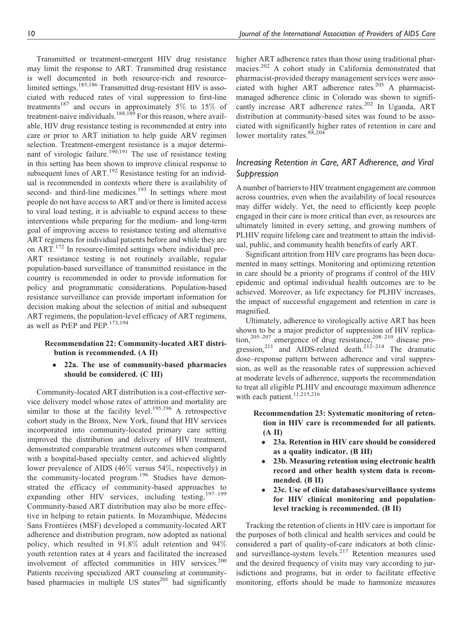Transmitted or treatment-emergent HIV drug resistance may limit the response to ART. Transmitted drug resistance is well documented in both resource-rich and resourcelimited settings.<sup>185,186</sup> Transmitted drug-resistant HIV is associated with reduced rates of viral suppression to first-line treatments<sup>187</sup> and occurs in approximately 5% to 15% of treatment-naive individuals.<sup>188,189</sup> For this reason, where available, HIV drug resistance testing is recommended at entry into care or prior to ART initiation to help guide ARV regimen selection. Treatment-emergent resistance is a major determinant of virologic failure.<sup>190,191</sup> The use of resistance testing in this setting has been shown to improve clinical response to subsequent lines of ART.<sup>192</sup> Resistance testing for an individual is recommended in contexts where there is availability of second- and third-line medicines.<sup>193</sup> In settings where most people do not have access to ART and/or there is limited access to viral load testing, it is advisable to expand access to these interventions while preparing for the medium- and long-term goal of improving access to resistance testing and alternative ART regimens for individual patients before and while they are on ART.<sup>172</sup> In resource-limited settings where individual pre-ART resistance testing is not routinely available, regular population-based surveillance of transmitted resistance in the country is recommended in order to provide information for policy and programmatic considerations. Population-based resistance surveillance can provide important information for decision making about the selection of initial and subsequent ART regimens, the population-level efficacy of ART regimens, as well as PrEP and PEP.173,194

#### Recommendation 22: Community-located ART distribution is recommended. (A II)

#### $\bullet$  22a. The use of community-based pharmacies should be considered. (C III)

Community-located ART distribution is a cost-effective service delivery model whose rates of attrition and mortality are similar to those at the facility level.<sup>195,196</sup> A retrospective cohort study in the Bronx, New York, found that HIV services incorporated into community-located primary care setting improved the distribution and delivery of HIV treatment, demonstrated comparable treatment outcomes when compared with a hospital-based specialty center, and achieved slightly lower prevalence of AIDS (46% versus 54%, respectively) in the community-located program.<sup>196</sup> Studies have demonstrated the efficacy of community-based approaches to expanding other HIV services, including testing.<sup>197-199</sup> Community-based ART distribution may also be more effective in helping to retain patients. In Mozambique, Médecins Sans Frontières (MSF) developed a community-located ART adherence and distribution program, now adopted as national policy, which resulted in 91.8% adult retention and 94% youth retention rates at 4 years and facilitated the increased involvement of affected communities in HIV services.<sup>200</sup> Patients receiving specialized ART counseling at communitybased pharmacies in multiple US states $^{201}$  had significantly higher ART adherence rates than those using traditional pharmacies.<sup>202</sup> A cohort study in California demonstrated that pharmacist-provided therapy management services were associated with higher ART adherence rates.<sup>203</sup> A pharmacistmanaged adherence clinic in Colorado was shown to significantly increase ART adherence rates.<sup>202</sup> In Uganda, ART distribution at community-based sites was found to be associated with significantly higher rates of retention in care and lower mortality rates.<sup>88,204</sup>

# Increasing Retention in Care, ART Adherence, and Viral **Suppression**

A number of barriers to HIV treatment engagement are common across countries, even when the availability of local resources may differ widely. Yet, the need to efficiently keep people engaged in their care is more critical than ever, as resources are ultimately limited in every setting, and growing numbers of PLHIV require lifelong care and treatment to attain the individual, public, and community health benefits of early ART.

Significant attrition from HIV care programs has been documented in many settings. Monitoring and optimizing retention in care should be a priority of programs if control of the HIV epidemic and optimal individual health outcomes are to be achieved. Moreover, as life expectancy for PLHIV increases, the impact of successful engagement and retention in care is magnified.

Ultimately, adherence to virologically active ART has been shown to be a major predictor of suppression of HIV replication,<sup>205–207</sup> emergence of drug resistance,<sup>208–210</sup> disease progression, $^{211}$  and AIDS-related death.<sup>212–214</sup> The dramatic dose–response pattern between adherence and viral suppression, as well as the reasonable rates of suppression achieved at moderate levels of adherence, supports the recommendation to treat all eligible PLHIV and encourage maximum adherence with each patient.<sup>11,215,216</sup>

- Recommendation 23: Systematic monitoring of retention in HIV care is recommended for all patients.  $(A \Pi)$ 
	- $\bullet$  23a. Retention in HIV care should be considered as a quality indicator. (B III)
	- 23b. Measuring retention using electronic health record and other health system data is recommended. (B II)
	- $\bullet$  23c. Use of clinic databases/surveillance systems for HIV clinical monitoring and populationlevel tracking is recommended. (B II)

Tracking the retention of clients in HIV care is important for the purposes of both clinical and health services and could be considered a part of quality-of-care indicators at both clinicand surveillance-system levels.<sup>217</sup> Retention measures used and the desired frequency of visits may vary according to jurisdictions and programs, but in order to facilitate effective monitoring, efforts should be made to harmonize measures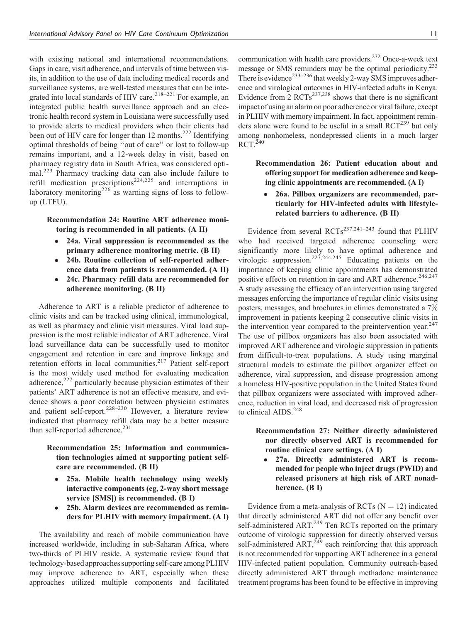with existing national and international recommendations. Gaps in care, visit adherence, and intervals of time between visits, in addition to the use of data including medical records and surveillance systems, are well-tested measures that can be integrated into local standards of HIV care.<sup>218–221</sup> For example, an integrated public health surveillance approach and an electronic health record system in Louisiana were successfully used to provide alerts to medical providers when their clients had been out of HIV care for longer than 12 months. $^{222}$  Identifying optimal thresholds of being ''out of care'' or lost to follow-up remains important, and a 12-week delay in visit, based on pharmacy registry data in South Africa, was considered optimal.<sup>223</sup> Pharmacy tracking data can also include failure to refill medication prescriptions<sup>224,225</sup> and interruptions in laboratory monitoring<sup>226</sup> as warning signs of loss to followup (LTFU).

Recommendation 24: Routine ART adherence monitoring is recommended in all patients. (A II)

- $\bullet$  24a. Viral suppression is recommended as the primary adherence monitoring metric. (B II)
- $\bullet$  24b. Routine collection of self-reported adherence data from patients is recommended. (A II)
- $\bullet$  24c. Pharmacy refill data are recommended for adherence monitoring. (B II)

Adherence to ART is a reliable predictor of adherence to clinic visits and can be tracked using clinical, immunological, as well as pharmacy and clinic visit measures. Viral load suppression is the most reliable indicator of ART adherence. Viral load surveillance data can be successfully used to monitor engagement and retention in care and improve linkage and retention efforts in local communities.<sup>217</sup> Patient self-report is the most widely used method for evaluating medication adherence, $227$  particularly because physician estimates of their patients' ART adherence is not an effective measure, and evidence shows a poor correlation between physician estimates and patient self-report.<sup>228–230</sup> However, a literature review indicated that pharmacy refill data may be a better measure than self-reported adherence.<sup>231</sup>

- Recommendation 25: Information and communication technologies aimed at supporting patient selfcare are recommended. (B II)
	- $\bullet$  25a. Mobile health technology using weekly interactive components (eg, 2-way short message service [SMS]) is recommended. (B I)
	- $\bullet$  25b. Alarm devices are recommended as reminders for PLHIV with memory impairment. (A I)

The availability and reach of mobile communication have increased worldwide, including in sub-Saharan Africa, where two-thirds of PLHIV reside. A systematic review found that technology-based approaches supporting self-care among PLHIV may improve adherence to ART, especially when these approaches utilized multiple components and facilitated

communication with health care providers.<sup>232</sup> Once-a-week text message or SMS reminders may be the optimal periodicity.233 There is evidence<sup>233–236</sup> that weekly 2-way SMS improves adherence and virological outcomes in HIV-infected adults in Kenya. Evidence from  $2$  RCTs<sup>237,238</sup> shows that there is no significant impact of using an alarm on poor adherence or viral failure, except in PLHIV with memory impairment. In fact, appointment reminders alone were found to be useful in a small  $RCT<sup>239</sup>$  but only among nonhomeless, nondepressed clients in a much larger  $RCT.<sup>240</sup>$ 

Recommendation 26: Patient education about and offering support for medication adherence and keeping clinic appointments are recommended. (A I)

 $\bullet$  26a. Pillbox organizers are recommended, particularly for HIV-infected adults with lifestylerelated barriers to adherence. (B II)

Evidence from several  $RCTs^{237,241-243}$  found that PLHIV who had received targeted adherence counseling were significantly more likely to have optimal adherence and virologic suppression.<sup>227,244,245</sup> Educating patients on the importance of keeping clinic appointments has demonstrated positive effects on retention in care and ART adherence.<sup>246,247</sup> A study assessing the efficacy of an intervention using targeted messages enforcing the importance of regular clinic visits using posters, messages, and brochures in clinics demonstrated a 7% improvement in patients keeping 2 consecutive clinic visits in the intervention year compared to the preintervention year. $247$ The use of pillbox organizers has also been associated with improved ART adherence and virologic suppression in patients from difficult-to-treat populations. A study using marginal structural models to estimate the pillbox organizer effect on adherence, viral suppression, and disease progression among a homeless HIV-positive population in the United States found that pillbox organizers were associated with improved adherence, reduction in viral load, and decreased risk of progression to clinical AIDS.<sup>248</sup>

- Recommendation 27: Neither directly administered nor directly observed ART is recommended for routine clinical care settings. (A I)
	- $\bullet$  27a. Directly administered ART is recommended for people who inject drugs (PWID) and released prisoners at high risk of ART nonadherence. (B I)

Evidence from a meta-analysis of RCTs  $(N = 12)$  indicated that directly administered ART did not offer any benefit over self-administered ART.<sup>249</sup> Ten RCTs reported on the primary outcome of virologic suppression for directly observed versus self-administered  $\overrightarrow{ART}$ ,<sup>249</sup> each reinforcing that this approach is not recommended for supporting ART adherence in a general HIV-infected patient population. Community outreach-based directly administered ART through methadone maintenance treatment programs has been found to be effective in improving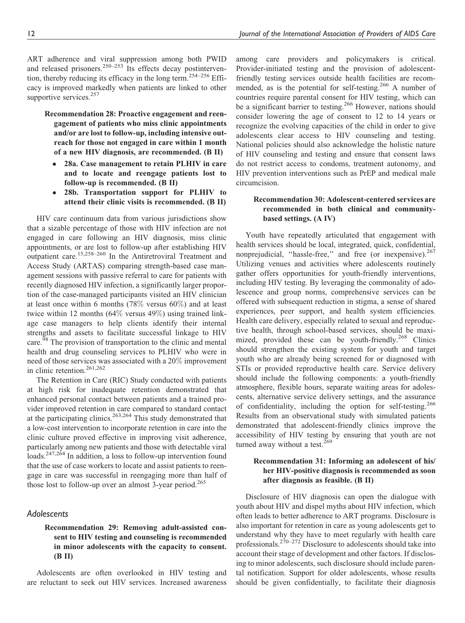ART adherence and viral suppression among both PWID and released prisoners.<sup>250–253</sup> Its effects decay postintervention, thereby reducing its efficacy in the long term.<sup>254–256</sup> Efficacy is improved markedly when patients are linked to other supportive services.<sup>257</sup>

- Recommendation 28: Proactive engagement and reengagement of patients who miss clinic appointments and/or are lost to follow-up, including intensive outreach for those not engaged in care within 1 month of a new HIV diagnosis, are recommended. (B II)
	- $\bullet$  28a. Case management to retain PLHIV in care and to locate and reengage patients lost to follow-up is recommended. (B II)
	- $\bullet$  28b. Transportation support for PLHIV to attend their clinic visits is recommended. (B II)

HIV care continuum data from various jurisdictions show that a sizable percentage of those with HIV infection are not engaged in care following an HIV diagnosis, miss clinic appointments, or are lost to follow-up after establishing HIV outpatient care.15,258–260 In the Antiretroviral Treatment and Access Study (ARTAS) comparing strength-based case management sessions with passive referral to care for patients with recently diagnosed HIV infection, a significantly larger proportion of the case-managed participants visited an HIV clinician at least once within 6 months (78% versus 60%) and at least twice within 12 months (64% versus 49%) using trained linkage case managers to help clients identify their internal strengths and assets to facilitate successful linkage to HIV care.<sup>98</sup> The provision of transportation to the clinic and mental health and drug counseling services to PLHIV who were in need of those services was associated with a 20% improvement in clinic retention.<sup>261,262</sup>

The Retention in Care (RIC) Study conducted with patients at high risk for inadequate retention demonstrated that enhanced personal contact between patients and a trained provider improved retention in care compared to standard contact at the participating clinics.<sup>263,264</sup> This study demonstrated that a low-cost intervention to incorporate retention in care into the clinic culture proved effective in improving visit adherence, particularly among new patients and those with detectable viral loads.247,264 In addition, a loss to follow-up intervention found that the use of case workers to locate and assist patients to reengage in care was successful in reengaging more than half of those lost to follow-up over an almost 3-year period.<sup>265</sup>

### **Adolescents**

### Recommendation 29: Removing adult-assisted consent to HIV testing and counseling is recommended in minor adolescents with the capacity to consent.  $(B \nI)$

Adolescents are often overlooked in HIV testing and are reluctant to seek out HIV services. Increased awareness

among care providers and policymakers is critical. Provider-initiated testing and the provision of adolescentfriendly testing services outside health facilities are recommended, as is the potential for self-testing.<sup>266</sup> A number of countries require parental consent for HIV testing, which can be a significant barrier to testing.<sup>266</sup> However, nations should consider lowering the age of consent to 12 to 14 years or recognize the evolving capacities of the child in order to give adolescents clear access to HIV counseling and testing. National policies should also acknowledge the holistic nature of HIV counseling and testing and ensure that consent laws do not restrict access to condoms, treatment autonomy, and HIV prevention interventions such as PrEP and medical male circumcision.

# Recommendation 30: Adolescent-centered services are recommended in both clinical and communitybased settings. (A IV)

Youth have repeatedly articulated that engagement with health services should be local, integrated, quick, confidential, nonprejudicial, "hassle-free," and free (or inexpensive).<sup>267</sup> Utilizing venues and activities where adolescents routinely gather offers opportunities for youth-friendly interventions, including HIV testing. By leveraging the commonality of adolescence and group norms, comprehensive services can be offered with subsequent reduction in stigma, a sense of shared experiences, peer support, and health system efficiencies. Health care delivery, especially related to sexual and reproductive health, through school-based services, should be maximized, provided these can be youth-friendly.<sup>268</sup> Clinics should strengthen the existing system for youth and target youth who are already being screened for or diagnosed with STIs or provided reproductive health care. Service delivery should include the following components: a youth-friendly atmosphere, flexible hours, separate waiting areas for adolescents, alternative service delivery settings, and the assurance of confidentiality, including the option for self-testing.<sup>266</sup> Results from an observational study with simulated patients demonstrated that adolescent-friendly clinics improve the accessibility of HIV testing by ensuring that youth are not turned away without a test.<sup>269</sup>

# Recommendation 31: Informing an adolescent of his/ her HIV-positive diagnosis is recommended as soon after diagnosis as feasible. (B II)

Disclosure of HIV diagnosis can open the dialogue with youth about HIV and dispel myths about HIV infection, which often leads to better adherence to ART programs. Disclosure is also important for retention in care as young adolescents get to understand why they have to meet regularly with health care professionals.<sup>270–272</sup> Disclosure to adolescents should take into account their stage of development and other factors. If disclosing to minor adolescents, such disclosure should include parental notification. Support for older adolescents, whose results should be given confidentially, to facilitate their diagnosis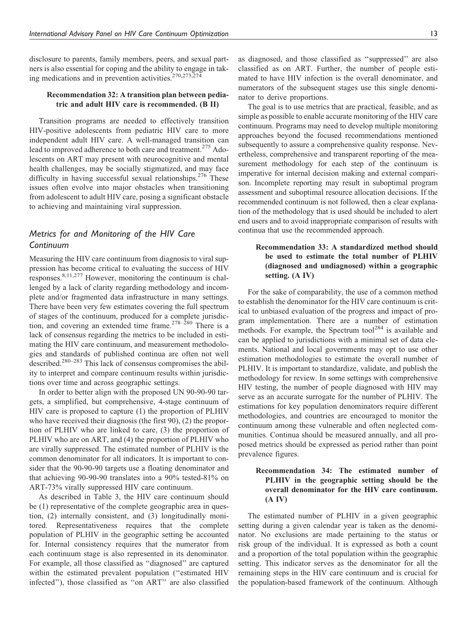disclosure to parents, family members, peers, and sexual partners is also essential for coping and the ability to engage in taking medications and in prevention activities. $270,273$ ,

### Recommendation 32: A transition plan between pediatric and adult HIV care is recommended. (B II)

Transition programs are needed to effectively transition HIV-positive adolescents from pediatric HIV care to more independent adult HIV care. A well-managed transition can lead to improved adherence to both care and treatment.<sup>275</sup> Adolescents on ART may present with neurocognitive and mental health challenges, may be socially stigmatized, and may face difficulty in having successful sexual relationships.<sup>276</sup> These issues often evolve into major obstacles when transitioning from adolescent to adult HIV care, posing a significant obstacle to achieving and maintaining viral suppression.

# Metrics for and Monitoring of the HIV Care Continuum

Measuring the HIV care continuum from diagnosis to viral suppression has become critical to evaluating the success of HIV responses.8,11,277 However, monitoring the continuum is challenged by a lack of clarity regarding methodology and incomplete and/or fragmented data infrastructure in many settings. There have been very few estimates covering the full spectrum of stages of the continuum, produced for a complete jurisdiction, and covering an extended time frame.<sup>278–280</sup> There is a lack of consensus regarding the metrics to be included in estimating the HIV care continuum, and measurement methodologies and standards of published continua are often not well described.<sup>280–283</sup> This lack of consensus compromises the ability to interpret and compare continuum results within jurisdictions over time and across geographic settings.

In order to better align with the proposed UN 90-90-90 targets, a simplified, but comprehensive, 4-stage continuum of HIV care is proposed to capture (1) the proportion of PLHIV who have received their diagnosis (the first 90), (2) the proportion of PLHIV who are linked to care, (3) the proportion of PLHIV who are on ART, and (4) the proportion of PLHIV who are virally suppressed. The estimated number of PLHIV is the common denominator for all indicators. It is important to consider that the 90-90-90 targets use a floating denominator and that achieving 90-90-90 translates into a 90% tested-81% on ART-73% virally suppressed HIV care continuum.

As described in Table 3, the HIV care continuum should be (1) representative of the complete geographic area in question, (2) internally consistent, and (3) longitudinally monitored. Representativeness requires that the complete population of PLHIV in the geographic setting be accounted for. Internal consistency requires that the numerator from each continuum stage is also represented in its denominator. For example, all those classified as ''diagnosed'' are captured within the estimated prevalent population (''estimated HIV infected''), those classified as ''on ART'' are also classified as diagnosed, and those classified as ''suppressed'' are also classified as on ART. Further, the number of people estimated to have HIV infection is the overall denominator, and numerators of the subsequent stages use this single denominator to derive proportions.

The goal is to use metrics that are practical, feasible, and as simple as possible to enable accurate monitoring of the HIV care continuum. Programs may need to develop multiple monitoring approaches beyond the focused recommendations mentioned subsequently to assure a comprehensive quality response. Nevertheless, comprehensive and transparent reporting of the measurement methodology for each step of the continuum is imperative for internal decision making and external comparison. Incomplete reporting may result in suboptimal program assessment and suboptimal resource allocation decisions. If the recommended continuum is not followed, then a clear explanation of the methodology that is used should be included to alert end users and to avoid inappropriate comparison of results with continua that use the recommended approach.

# Recommendation 33: A standardized method should be used to estimate the total number of PLHIV (diagnosed and undiagnosed) within a geographic setting. (A IV)

For the sake of comparability, the use of a common method to establish the denominator for the HIV care continuum is critical to unbiased evaluation of the progress and impact of program implementation. There are a number of estimation methods. For example, the Spectrum tool $^{284}$  is available and can be applied to jurisdictions with a minimal set of data elements. National and local governments may opt to use other estimation methodologies to estimate the overall number of PLHIV. It is important to standardize, validate, and publish the methodology for review. In some settings with comprehensive HIV testing, the number of people diagnosed with HIV may serve as an accurate surrogate for the number of PLHIV. The estimations for key population denominators require different methodologies, and countries are encouraged to monitor the continuum among these vulnerable and often neglected communities. Continua should be measured annually, and all proposed metrics should be expressed as period rather than point prevalence figures.

# Recommendation 34: The estimated number of PLHIV in the geographic setting should be the overall denominator for the HIV care continuum. (A IV)

The estimated number of PLHIV in a given geographic setting during a given calendar year is taken as the denominator. No exclusions are made pertaining to the status or risk group of the individual. It is expressed as both a count and a proportion of the total population within the geographic setting. This indicator serves as the denominator for all the remaining steps in the HIV care continuum and is crucial for the population-based framework of the continuum. Although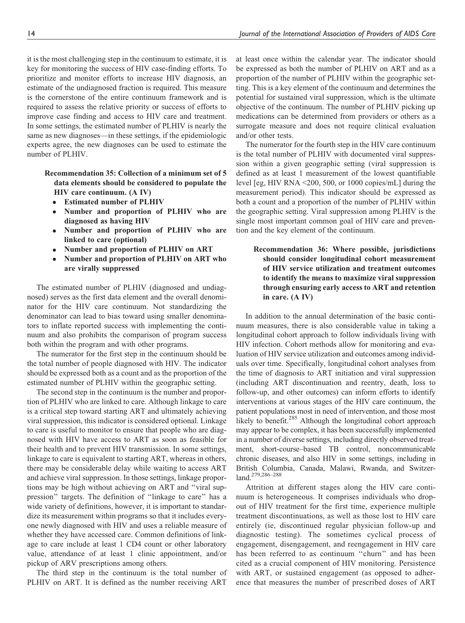it is the most challenging step in the continuum to estimate, it is key for monitoring the success of HIV case-finding efforts. To prioritize and monitor efforts to increase HIV diagnosis, an estimate of the undiagnosed fraction is required. This measure is the cornerstone of the entire continuum framework and is required to assess the relative priority or success of efforts to improve case finding and access to HIV care and treatment. In some settings, the estimated number of PLHIV is nearly the same as new diagnoses—in these settings, if the epidemiologic experts agree, the new diagnoses can be used to estimate the number of PLHIV.

Recommendation 35: Collection of a minimum set of 5 data elements should be considered to populate the HIV care continuum. (A IV)

- $\bullet$ Estimated number of PLHIV
- $\bullet$  Number and proportion of PLHIV who are diagnosed as having HIV
- $\bullet$  Number and proportion of PLHIV who are linked to care (optional)
- $\bullet$ Number and proportion of PLHIV on ART
- $\bullet$  Number and proportion of PLHIV on ART who are virally suppressed

The estimated number of PLHIV (diagnosed and undiagnosed) serves as the first data element and the overall denominator for the HIV care continuum. Not standardizing the denominator can lead to bias toward using smaller denominators to inflate reported success with implementing the continuum and also prohibits the comparison of program success both within the program and with other programs.

The numerator for the first step in the continuum should be the total number of people diagnosed with HIV. The indicator should be expressed both as a count and as the proportion of the estimated number of PLHIV within the geographic setting.

The second step in the continuum is the number and proportion of PLHIV who are linked to care. Although linkage to care is a critical step toward starting ART and ultimately achieving viral suppression, this indicator is considered optional. Linkage to care is useful to monitor to ensure that people who are diagnosed with HIV have access to ART as soon as feasible for their health and to prevent HIV transmission. In some settings, linkage to care is equivalent to starting ART, whereas in others, there may be considerable delay while waiting to access ART and achieve viral suppression. In those settings, linkage proportions may be high without achieving on ART and ''viral suppression'' targets. The definition of ''linkage to care'' has a wide variety of definitions, however, it is important to standardize its measurement within programs so that it includes everyone newly diagnosed with HIV and uses a reliable measure of whether they have accessed care. Common definitions of linkage to care include at least 1 CD4 count or other laboratory value, attendance of at least 1 clinic appointment, and/or pickup of ARV prescriptions among others.

The third step in the continuum is the total number of PLHIV on ART. It is defined as the number receiving ART

at least once within the calendar year. The indicator should be expressed as both the number of PLHIV on ART and as a proportion of the number of PLHIV within the geographic setting. This is a key element of the continuum and determines the potential for sustained viral suppression, which is the ultimate objective of the continuum. The number of PLHIV picking up medications can be determined from providers or others as a surrogate measure and does not require clinical evaluation and/or other tests.

The numerator for the fourth step in the HIV care continuum is the total number of PLHIV with documented viral suppression within a given geographic setting (viral suppression is defined as at least 1 measurement of the lowest quantifiable level [eg, HIV RNA <200, 500, or 1000 copies/mL] during the measurement period). This indicator should be expressed as both a count and a proportion of the number of PLHIV within the geographic setting. Viral suppression among PLHIV is the single most important common goal of HIV care and prevention and the key element of the continuum.

# Recommendation 36: Where possible, jurisdictions should consider longitudinal cohort measurement of HIV service utilization and treatment outcomes to identify the means to maximize viral suppression through ensuring early access to ART and retention in care. (A IV)

In addition to the annual determination of the basic continuum measures, there is also considerable value in taking a longitudinal cohort approach to follow individuals living with HIV infection. Cohort methods allow for monitoring and evaluation of HIV service utilization and outcomes among individuals over time. Specifically, longitudinal cohort analyses from the time of diagnosis to ART initiation and viral suppression (including ART discontinuation and reentry, death, loss to follow-up, and other outcomes) can inform efforts to identify interventions at various stages of the HIV care continuum, the patient populations most in need of intervention, and those most likely to benefit.<sup>285</sup> Although the longitudinal cohort approach may appear to be complex, it has been successfully implemented in a number of diverse settings, including directly observed treatment, short-course–based TB control, noncommunicable chronic diseases, and also HIV in some settings, including in British Columbia, Canada, Malawi, Rwanda, and Switzerland.<sup>279,286–288</sup>

Attrition at different stages along the HIV care continuum is heterogeneous. It comprises individuals who dropout of HIV treatment for the first time, experience multiple treatment discontinuations, as well as those lost to HIV care entirely (ie, discontinued regular physician follow-up and diagnostic testing). The sometimes cyclical process of engagement, disengagement, and reengagement in HIV care has been referred to as continuum "churn" and has been cited as a crucial component of HIV monitoring. Persistence with ART, or sustained engagement (as opposed to adherence that measures the number of prescribed doses of ART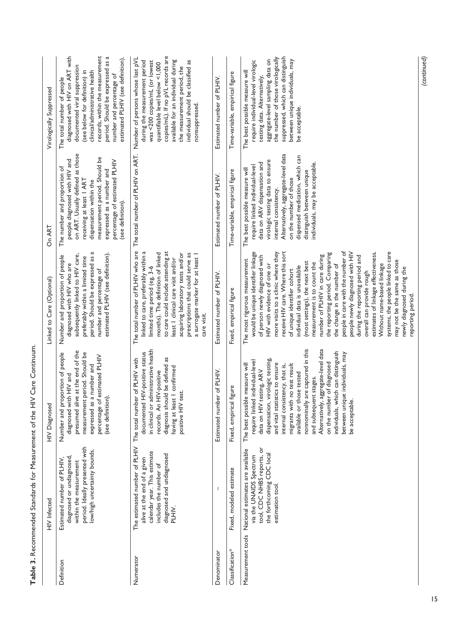|                   | HIV Infected                                                                                                                                                  | HIV Diagnosed                                                                                                                                                                                                                                                                                                                                                                                                                                                                                             | Linked to Care (Optional)                                                                                                                                                                                                                                                                                                                                                                                                                                                                                                                                                                                                                                                                                                                                                                   | On ART                                                                                                                                                                                                                                                                                                                              | Virologically Suppressed                                                                                                                                                                                                                                                                                |
|-------------------|---------------------------------------------------------------------------------------------------------------------------------------------------------------|-----------------------------------------------------------------------------------------------------------------------------------------------------------------------------------------------------------------------------------------------------------------------------------------------------------------------------------------------------------------------------------------------------------------------------------------------------------------------------------------------------------|---------------------------------------------------------------------------------------------------------------------------------------------------------------------------------------------------------------------------------------------------------------------------------------------------------------------------------------------------------------------------------------------------------------------------------------------------------------------------------------------------------------------------------------------------------------------------------------------------------------------------------------------------------------------------------------------------------------------------------------------------------------------------------------------|-------------------------------------------------------------------------------------------------------------------------------------------------------------------------------------------------------------------------------------------------------------------------------------------------------------------------------------|---------------------------------------------------------------------------------------------------------------------------------------------------------------------------------------------------------------------------------------------------------------------------------------------------------|
| Definition        | period. Ideally presented with<br>low/high uncertainty bounds.<br>diagnosed or undiagnosed,<br>Estimated number of PLHIV,<br>within the measurement           | presumed alive at the end of the<br>measurement period. Should be<br>Number and proportion of people<br>diagnosed with HIV and<br>percentage of estimated PLHIV<br>expressed as a number and<br>(see definition).                                                                                                                                                                                                                                                                                         | period. Should be expressed as a<br>estimated PLHIV (see definition).<br>subsequently linked to HIV care,<br>Number and proportion of people<br>preferably within a limited time<br>diagnosed with HIV who are<br>number and percentage of                                                                                                                                                                                                                                                                                                                                                                                                                                                                                                                                                  | on ART. Usually defined as those<br>measurement period. Should be<br>people diagnosed with HIV and<br>percentage of estimated PLHIV<br>The number and proportion of<br>expressed as a number and<br>receiving at least   ART<br>dispensation within the<br>(see definition).                                                        | records, within the measurement<br>diagnosed with HIV on ART with<br>period. Should be expressed as a<br>estimated PLHIV (see definition).<br>documented viral suppression<br>(see below for definition) in<br>clinical/administrative health<br>number and percentage of<br>The total number of people |
| Numerator         | The estimated number of PLHIV<br>calendar year. This estimate<br>diagnosed and undiagnosed<br>alive at the end of a given<br>includes the number of<br>PLHIV. | in clinical or administrative health<br>documented HIV-positive status<br>should be defined as<br>The total number of PLHIV with<br>least   confirmed<br>An HIV-positive<br>positive HIV test.<br>diagnosis<br>having at<br>records.                                                                                                                                                                                                                                                                      | The total number of PLHIV who are<br>linked to care, preferably within a<br>to care could include attending at<br>months). The definition of linked<br>acquiring laboratory tests and/or<br>prescriptions that could serve as<br>a surrogate marker for at least I<br>least I clinical care visit and/or<br>limited time period (eg, 3-6<br>care visit.                                                                                                                                                                                                                                                                                                                                                                                                                                     | The total number of PLHIV on ART.                                                                                                                                                                                                                                                                                                   | copies/mL). If no pVL records are<br>Number of persons whose last pVL<br>available for an individual during<br>during the measurement period<br>was <200 copies/mL (or lowest<br>individual should be classified as<br>quantifiable level below <1,000<br>the measurement period, the<br>nonsuppressed. |
| Denominator       |                                                                                                                                                               | Estimated number of PLHIV.                                                                                                                                                                                                                                                                                                                                                                                                                                                                                | Estimated number of PLHIV.                                                                                                                                                                                                                                                                                                                                                                                                                                                                                                                                                                                                                                                                                                                                                                  | Estimated number of PLHIV.                                                                                                                                                                                                                                                                                                          | Estimated number of PLHIV.                                                                                                                                                                                                                                                                              |
| Classification*   | Fixed, modeled estimate                                                                                                                                       | Fixed, empirical figure                                                                                                                                                                                                                                                                                                                                                                                                                                                                                   | Fixed, empirical figure                                                                                                                                                                                                                                                                                                                                                                                                                                                                                                                                                                                                                                                                                                                                                                     | Time-variable, empirical figure                                                                                                                                                                                                                                                                                                     | Time-variable, empirical figure                                                                                                                                                                                                                                                                         |
| Measurement tools | tool, CDC NHBS reports, or<br>National estimates are available<br>the forthcoming CDC local<br>via the UNAIDS Spectrum<br>estimation tool.                    | nonnominally are captured in this<br>Alternatively, aggregate-level data<br>individuals, which can distinguish<br>unique individuals, may<br>dispensation, virologic testing,<br>inked individual-level<br>on the number of diagnosed<br>and vital statistics to ensure<br>migrants with no test result<br>internal consistency, that is,<br>The best possible measure will<br>data on HIV testing, ARV<br>available or those tested<br>and subsequent stages.<br>be acceptable.<br>between<br>require li | people in care with the number of<br>systems, the people linked to care<br>receive HIV care. Where this sort<br>would be unique identifier linkage<br>more visits to a clinic where they<br>the reporting period. Comparing<br>people newly diagnosed with HIV<br>estimates of linkage effectiveness.<br>number of PLHIV in care during<br>of person newly diagnosed with<br>during the reporting period and<br>The most rigorous measurement<br>may not be the same as those<br>(most settings), the next best<br>measurement is to count the<br>the change in the number of<br>HIV with evidence of one or<br>Without name-based linkage<br>individual data is unavailable<br>newly diagnosed during the<br>of unique identifier cohort<br>overall can provide rough<br>reporting period. | Alternatively, aggregate-level data<br>dispensed medication, which can<br>virologic testing data to ensure<br>data on ARV dispensation and<br>individuals, may be acceptable.<br>require linked individual-level<br>The best possible measure will<br>distinguish between unique<br>on the number of those<br>internal consistency. | suppressed, which can distinguish<br>the number of those virologically<br>aggregate-level sampling data on<br>between unique individuals, may<br>require individual-level virologic<br>The best possible measure will<br>testing data. Alternatively,<br>be acceptable.                                 |

(continued)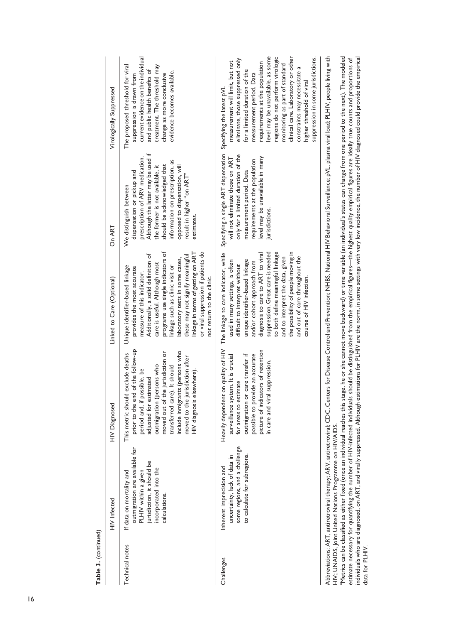|                 | HIV Infected                                                                                                                                               | HIV Diagnosed                                                                                                                                                                                                                                                                                                                          | Linked to Care (Optional)                                                                                                                                                                                                                                                                                                                                                                                                           | On ART                                                                                                                                                                                                                                                                                                         | Virologically Suppressed                                                                                                                                                                                                                                                                                                                                                                                                                             |
|-----------------|------------------------------------------------------------------------------------------------------------------------------------------------------------|----------------------------------------------------------------------------------------------------------------------------------------------------------------------------------------------------------------------------------------------------------------------------------------------------------------------------------------|-------------------------------------------------------------------------------------------------------------------------------------------------------------------------------------------------------------------------------------------------------------------------------------------------------------------------------------------------------------------------------------------------------------------------------------|----------------------------------------------------------------------------------------------------------------------------------------------------------------------------------------------------------------------------------------------------------------------------------------------------------------|------------------------------------------------------------------------------------------------------------------------------------------------------------------------------------------------------------------------------------------------------------------------------------------------------------------------------------------------------------------------------------------------------------------------------------------------------|
| Technical notes | outmigration are available for<br>jurisdiction, it should be<br>incorporated into the<br>If data on mortality and<br>PLHIV within a given<br>calculations. | prior to the end of the follow-up<br>include inmigrants (persons who<br>moved out of the jurisdiction or<br>should exclude deaths<br>moved to the jurisdiction after<br>outmigration (persons who<br>transferred care). It should<br>period and, if possible, be<br>HIV diagnosis elsewhere).<br>adjusted for estimated<br>This metric | programs use single indicators of<br>or viral suppression if patients do<br>linkage in terms of getting on ART<br>Additionally, a solid definition of<br>these may not signify meaningful<br>laboratory tests in some cases,<br>care is useful. Although most<br>Unique identifier-based linkage<br>linkage such as clinic visit or<br>provides the most accurate<br>measure of this indicator.<br>not return to the clinic.        | Although the latter may be used if<br>prescription of ARV medication.<br>information on prescription, as<br>should be acknowledged that<br>the former is not available, it<br>opposed to dispensation, will<br>dispensation or pickup and<br>result in higher "on ART"<br>We distinguish between<br>estimates. | current evidence on the individual<br>The proposed threshold for viral<br>treatment. The threshold may<br>and public health benefits of<br>evidence becomes available.<br>change as more conclusive<br>suppression is drawn from                                                                                                                                                                                                                     |
| Challenges      | some regions, and a challenge<br>to calculate for subregions.<br>uncertainty, lack of data in<br>Inherent imprecision and                                  | Heavily dependent on quality of HIV<br>picture of indicators of retention<br>surveillance system. It is crucial<br>possible to provide an accurate<br>outmigration or care transfer if<br>in care and viral suppression.<br>for areas to estimate                                                                                      | The linkage to care indicator, while<br>suppression. Great care is needed<br>the possibility of people moving in<br>to both define meaningful linkage<br>diagnosis to care to ART to viral<br>and to interpret the data, given<br>and out of care throughout the<br>unique identifier-based linkage<br>used in many settings, is often<br>and/or cohort approach from<br>difficult to interpret without<br>course of HIV infection. | Specifying a single ART dispensation<br>only for a limited duration of the<br>level may be unavailable in many<br>will not eliminate those on ART<br>requirements at the population<br>measurement period. Data<br>jurisdictions.                                                                              | level may be unavailable, as some<br>suppression in some jurisdictions.<br>regions do not perform virologic<br>clinical care. Laboratory or other<br>eliminate, those suppressed only<br>measurement will limit, but not<br>requirements at the population<br>monitoring as part of standard<br>constraints may necessitate a<br>for a limited duration of the<br>measurement period. Data<br>higher threshold of viral<br>Specifying the latest pVL |

HIV; UNAIDS, Joint United Nations Programme on HIV/AIDS.<br>"Metrics can be classified as either fixed (once an individual reaches this stage, he or she cannove backward) or time variable (an individual's status can change fr aMetrics can be classified as either fixed (once an individual reaches this stage, he or she cannot move backward) or time variable (an individual's status can change from one period to the next). The modeled estimate necessary for quantifying the number of HIV-infected individuals should be distinguished from the empirical figures—the highest quality empirical figures are ideally true counts and proportions of HIV; UNAIDS, Joint United Nations Programme on HIV/AIDS.

individuals who are diagnosed, on ART, and virally suppressed. Although estimations for PLHIV are the norm, in some settings with very low incidence, the number of HIV diagnosed could provide the empirical data for PLHIV. data for PLHIV.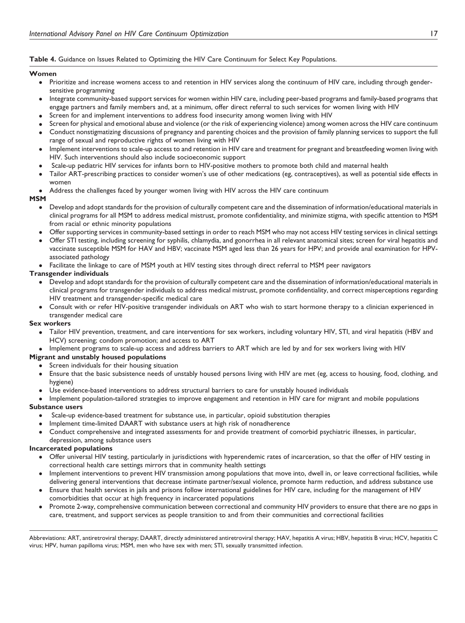### Table 4. Guidance on Issues Related to Optimizing the HIV Care Continuum for Select Key Populations.

#### Women

- Prioritize and increase womens access to and retention in HIV services along the continuum of HIV care, including through gendersensitive programming
- $\bullet$  Integrate community-based support services for women within HIV care, including peer-based programs and family-based programs that engage partners and family members and, at a minimum, offer direct referral to such services for women living with HIV
- $\bullet$ Screen for and implement interventions to address food insecurity among women living with HIV
- $\bullet$ Screen for physical and emotional abuse and violence (or the risk of experiencing violence) among women across the HIV care continuum
- $\bullet$  Conduct nonstigmatizing discussions of pregnancy and parenting choices and the provision of family planning services to support the full range of sexual and reproductive rights of women living with HIV
- $\bullet$  Implement interventions to scale-up access to and retention in HIV care and treatment for pregnant and breastfeeding women living with HIV. Such interventions should also include socioeconomic support
- $\bullet$ Scale-up pediatric HIV services for infants born to HIV-positive mothers to promote both child and maternal health
- $\bullet$  Tailor ART-prescribing practices to consider women's use of other medications (eg, contraceptives), as well as potential side effects in women
- $\bullet$ Address the challenges faced by younger women living with HIV across the HIV care continuum

#### **MSM**

- Develop and adopt standards for the provision of culturally competent care and the dissemination of information/educational materials in clinical programs for all MSM to address medical mistrust, promote confidentiality, and minimize stigma, with specific attention to MSM from racial or ethnic minority populations
- $\bullet$ Offer supporting services in community-based settings in order to reach MSM who may not access HIV testing services in clinical settings
- $\bullet$  Offer STI testing, including screening for syphilis, chlamydia, and gonorrhea in all relevant anatomical sites; screen for viral hepatitis and vaccinate susceptible MSM for HAV and HBV; vaccinate MSM aged less than 26 years for HPV; and provide anal examination for HPVassociated pathology
- Facilitate the linkage to care of MSM youth at HIV testing sites through direct referral to MSM peer navigators

#### Transgender individuals

- Develop and adopt standards for the provision of culturally competent care and the dissemination of information/educational materials in clinical programs for transgender individuals to address medical mistrust, promote confidentiality, and correct misperceptions regarding HIV treatment and transgender-specific medical care
- $\bullet$  Consult with or refer HIV-positive transgender individuals on ART who wish to start hormone therapy to a clinician experienced in transgender medical care

#### Sex workers

- $\bullet$  Tailor HIV prevention, treatment, and care interventions for sex workers, including voluntary HIV, STI, and viral hepatitis (HBV and HCV) screening; condom promotion; and access to ART
- Implement programs to scale-up access and address barriers to ART which are led by and for sex workers living with HIV

#### Migrant and unstably housed populations

- $\bullet$ Screen individuals for their housing situation
- $\bullet$  Ensure that the basic subsistence needs of unstably housed persons living with HIV are met (eg, access to housing, food, clothing, and hygiene)
- Use evidence-based interventions to address structural barriers to care for unstably housed individuals
- Implement population-tailored strategies to improve engagement and retention in HIV care for migrant and mobile populations Substance users
	- $\bullet$ Scale-up evidence-based treatment for substance use, in particular, opioid substitution therapies
	- Implement time-limited DAART with substance users at high risk of nonadherence
	- $\bullet$  Conduct comprehensive and integrated assessments for and provide treatment of comorbid psychiatric illnesses, in particular, depression, among substance users

#### Incarcerated populations

- Offer universal HIV testing, particularly in jurisdictions with hyperendemic rates of incarceration, so that the offer of HIV testing in correctional health care settings mirrors that in community health settings
- $\bullet$  Implement interventions to prevent HIV transmission among populations that move into, dwell in, or leave correctional facilities, while delivering general interventions that decrease intimate partner/sexual violence, promote harm reduction, and address substance use
- $\bullet$  Ensure that health services in jails and prisons follow international guidelines for HIV care, including for the management of HIV comorbidities that occur at high frequency in incarcerated populations
- $\bullet$  Promote 2-way, comprehensive communication between correctional and community HIV providers to ensure that there are no gaps in care, treatment, and support services as people transition to and from their communities and correctional facilities

Abbreviations: ART, antiretroviral therapy; DAART, directly administered antiretroviral therapy; HAV, hepatitis A virus; HBV, hepatitis B virus; HCV, hepatitis C virus; HPV, human papilloma virus; MSM, men who have sex with men; STI, sexually transmitted infection.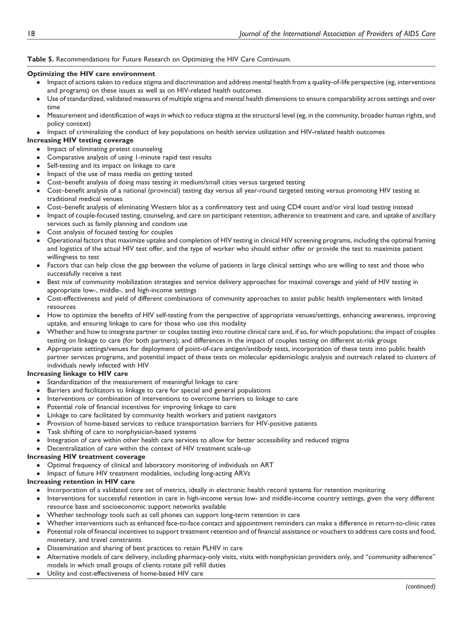### Table 5. Recommendations for Future Research on Optimizing the HIV Care Continuum.

#### Optimizing the HIV care environment

- Impact of actions taken to reduce stigma and discrimination and address mental health from a quality-of-life perspective (eg, interventions and programs) on these issues as well as on HIV-related health outcomes
- $\bullet$  Use of standardized, validated measures of multiple stigma and mental health dimensions to ensure comparability across settings and over time
- $\bullet$  Measurement and identification of ways in which to reduce stigma at the structural level (eg, in the community, broader human rights, and policy context)
- $\bullet$ Impact of criminalizing the conduct of key populations on health service utilization and HIV-related health outcomes

#### Increasing HIV testing coverage

- Impact of eliminating pretest counseling
- $\bullet$ Comparative analysis of using 1-minute rapid test results
- $\bullet$ Self-testing and its impact on linkage to care
- $\bullet$ Impact of the use of mass media on getting tested
- $\bullet$ Cost–benefit analysis of doing mass testing in medium/small cities versus targeted testing
- $\bullet$  Cost–benefit analysis of a national (provincial) testing day versus all year-round targeted testing versus promoting HIV testing at traditional medical venues
- $\bullet$ Cost–benefit analysis of eliminating Western blot as a confirmatory test and using CD4 count and/or viral load testing instead
- $\bullet$  Impact of couple-focused testing, counseling, and care on participant retention, adherence to treatment and care, and uptake of ancillary services such as family planning and condom use
- $\bullet$ Cost analysis of focused testing for couples
- $\bullet$  Operational factors that maximize uptake and completion of HIV testing in clinical HIV screening programs, including the optimal framing and logistics of the actual HIV test offer, and the type of worker who should either offer or provide the test to maximize patient willingness to test
- $\bullet$  Factors that can help close the gap between the volume of patients in large clinical settings who are willing to test and those who successfully receive a test
- $\bullet$  Best mix of community mobilization strategies and service delivery approaches for maximal coverage and yield of HIV testing in appropriate low-, middle-, and high-income settings
- $\bullet$  Cost-effectiveness and yield of different combinations of community approaches to assist public health implementers with limited resources
- $\bullet$  How to optimize the benefits of HIV self-testing from the perspective of appropriate venues/settings, enhancing awareness, improving uptake, and ensuring linkage to care for those who use this modality
- $\bullet$  Whether and how to integrate partner or couples testing into routine clinical care and, if so, for which populations; the impact of couples testing on linkage to care (for both partners); and differences in the impact of couples testing on different at-risk groups
- $\bullet$  Appropriate settings/venues for deployment of point-of-care antigen/antibody tests, incorporation of these tests into public health partner services programs, and potential impact of these tests on molecular epidemiologic analysis and outreach related to clusters of individuals newly infected with HIV

#### Increasing linkage to HIV care

- Standardization of the measurement of meaningful linkage to care
- $\bullet$ Barriers and facilitators to linkage to care for special and general populations
- $\bullet$ Interventions or combination of interventions to overcome barriers to linkage to care
- $\bullet$ Potential role of financial incentives for improving linkage to care
- $\bullet$ Linkage to care facilitated by community health workers and patient navigators
- $\bullet$ Provision of home-based services to reduce transportation barriers for HIV-positive patients
- $\bullet$ Task shifting of care to nonphysician-based systems
- $\bullet$ Integration of care within other health care services to allow for better accessibility and reduced stigma
- $\bullet$ Decentralization of care within the context of HIV treatment scale-up

# Increasing HIV treatment coverage

- Optimal frequency of clinical and laboratory monitoring of individuals on ART
- Impact of future HIV treatment modalities, including long-acting ARVs

# Increasing retention in HIV care

- Incorporation of a validated core set of metrics, ideally in electronic health record systems for retention monitoring
- $\bullet$  Interventions for successful retention in care in high-income versus low- and middle-income country settings, given the very different resource base and socioeconomic support networks available
- $\bullet$ Whether technology tools such as cell phones can support long-term retention in care
- $\bullet$ Whether interventions such as enhanced face-to-face contact and appointment reminders can make a difference in return-to-clinic rates
- $\bullet$  Potential role of financial incentives to support treatment retention and of financial assistance or vouchers to address care costs and food, monetary, and travel constraints
- $\bullet$ Dissemination and sharing of best practices to retain PLHIV in care
- $\bullet$  Alternative models of care delivery, including pharmacy-only visits, visits with nonphysician providers only, and ''community adherence'' models in which small groups of clients rotate pill refill duties
- $\bullet$ Utility and cost-effectiveness of home-based HIV care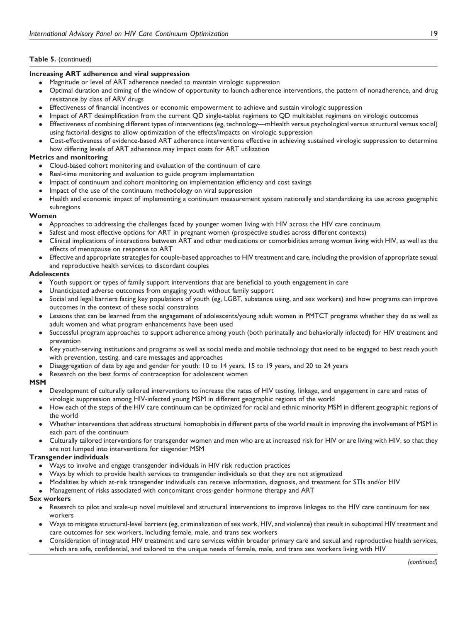#### Table 5. (continued)

#### Increasing ART adherence and viral suppression

- Magnitude or level of ART adherence needed to maintain virologic suppression
- $\bullet$  Optimal duration and timing of the window of opportunity to launch adherence interventions, the pattern of nonadherence, and drug resistance by class of ARV drugs
- $\bullet$ Effectiveness of financial incentives or economic empowerment to achieve and sustain virologic suppression
- $\bullet$ Impact of ART desimplification from the current QD single-tablet regimens to QD multitablet regimens on virologic outcomes
- $\bullet$  Effectiveness of combining different types of interventions (eg, technology—mHealth versus psychological versus structural versus social) using factorial designs to allow optimization of the effects/impacts on virologic suppression
- $\bullet$  Cost-effectiveness of evidence-based ART adherence interventions effective in achieving sustained virologic suppression to determine how differing levels of ART adherence may impact costs for ART utilization

#### Metrics and monitoring

- $\bullet$ Cloud-based cohort monitoring and evaluation of the continuum of care
- $\bullet$ Real-time monitoring and evaluation to guide program implementation
- $\bullet$ Impact of continuum and cohort monitoring on implementation efficiency and cost savings
- $\bullet$ Impact of the use of the continuum methodology on viral suppression
- $\bullet$  Health and economic impact of implementing a continuum measurement system nationally and standardizing its use across geographic subregions

#### Women

- Approaches to addressing the challenges faced by younger women living with HIV across the HIV care continuum
- $\bullet$ Safest and most effective options for ART in pregnant women (prospective studies across different contexts)
- $\bullet$  Clinical implications of interactions between ART and other medications or comorbidities among women living with HIV, as well as the effects of menopause on response to ART
- $\bullet$  Effective and appropriate strategies for couple-based approaches to HIV treatment and care, including the provision of appropriate sexual and reproductive health services to discordant couples

#### **Adolescents**

- $\bullet$ Youth support or types of family support interventions that are beneficial to youth engagement in care
- $\bullet$ Unanticipated adverse outcomes from engaging youth without family support
- Social and legal barriers facing key populations of youth (eg, LGBT, substance using, and sex workers) and how programs can improve outcomes in the context of these social constraints
- $\bullet$  Lessons that can be learned from the engagement of adolescents/young adult women in PMTCT programs whether they do as well as adult women and what program enhancements have been used
- $\bullet$  Successful program approaches to support adherence among youth (both perinatally and behaviorally infected) for HIV treatment and prevention
- $\bullet$  Key youth-serving institutions and programs as well as social media and mobile technology that need to be engaged to best reach youth with prevention, testing, and care messages and approaches
- $\bullet$ Disaggregation of data by age and gender for youth: 10 to 14 years, 15 to 19 years, and 20 to 24 years
- $\bullet$ Research on the best forms of contraception for adolescent women

#### MSM

- Development of culturally tailored interventions to increase the rates of HIV testing, linkage, and engagement in care and rates of virologic suppression among HIV-infected young MSM in different geographic regions of the world
- $\bullet$  How each of the steps of the HIV care continuum can be optimized for racial and ethnic minority MSM in different geographic regions of the world
- $\bullet$  Whether interventions that address structural homophobia in different parts of the world result in improving the involvement of MSM in each part of the continuum
- $\bullet$  Culturally tailored interventions for transgender women and men who are at increased risk for HIV or are living with HIV, so that they are not lumped into interventions for cisgender MSM

#### Transgender individuals

- $\bullet$ Ways to involve and engage transgender individuals in HIV risk reduction practices
- Ways by which to provide health services to transgender individuals so that they are not stigmatized
- Modalities by which at-risk transgender individuals can receive information, diagnosis, and treatment for STIs and/or HIV
- Management of risks associated with concomitant cross-gender hormone therapy and ART

#### Sex workers

- Research to pilot and scale-up novel multilevel and structural interventions to improve linkages to the HIV care continuum for sex workers
- $\bullet$  Ways to mitigate structural-level barriers (eg, criminalization of sex work, HIV, and violence) that result in suboptimal HIV treatment and care outcomes for sex workers, including female, male, and trans sex workers
- $\bullet$  Consideration of integrated HIV treatment and care services within broader primary care and sexual and reproductive health services, which are safe, confidential, and tailored to the unique needs of female, male, and trans sex workers living with HIV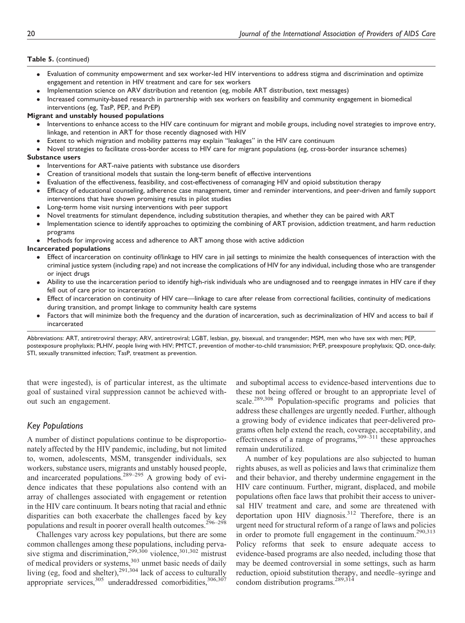#### Table 5. (continued)

- $\bullet$  Evaluation of community empowerment and sex worker-led HIV interventions to address stigma and discrimination and optimize engagement and retention in HIV treatment and care for sex workers
- $\bullet$ Implementation science on ARV distribution and retention (eg, mobile ART distribution, text messages)
- $\bullet$  Increased community-based research in partnership with sex workers on feasibility and community engagement in biomedical interventions (eg, TasP, PEP, and PrEP)

#### Migrant and unstably housed populations

- $\bullet$  Interventions to enhance access to the HIV care continuum for migrant and mobile groups, including novel strategies to improve entry, linkage, and retention in ART for those recently diagnosed with HIV
- $\bullet$ Extent to which migration and mobility patterns may explain ''leakages'' in the HIV care continuum
- $\bullet$ Novel strategies to facilitate cross-border access to HIV care for migrant populations (eg, cross-border insurance schemes)

#### Substance users

- Interventions for ART-naive patients with substance use disorders
- $\bullet$ Creation of transitional models that sustain the long-term benefit of effective interventions
- $\bullet$ Evaluation of the effectiveness, feasibility, and cost-effectiveness of comanaging HIV and opioid substitution therapy
- $\bullet$  Efficacy of educational counseling, adherence case management, timer and reminder interventions, and peer-driven and family support interventions that have shown promising results in pilot studies
- $\bullet$ Long-term home visit nursing interventions with peer support
- $\bullet$ Novel treatments for stimulant dependence, including substitution therapies, and whether they can be paired with ART
- $\bullet$  Implementation science to identify approaches to optimizing the combining of ART provision, addiction treatment, and harm reduction programs
- $\bullet$ Methods for improving access and adherence to ART among those with active addiction

#### Incarcerated populations

- $\bullet$  Effect of incarceration on continuity of/linkage to HIV care in jail settings to minimize the health consequences of interaction with the criminal justice system (including rape) and not increase the complications of HIV for any individual, including those who are transgender or inject drugs
- $\bullet$  Ability to use the incarceration period to identify high-risk individuals who are undiagnosed and to reengage inmates in HIV care if they fell out of care prior to incarceration
- $\bullet$  Effect of incarceration on continuity of HIV care—linkage to care after release from correctional facilities, continuity of medications during transition, and prompt linkage to community health care systems
- $\bullet$  Factors that will minimize both the frequency and the duration of incarceration, such as decriminalization of HIV and access to bail if incarcerated

Abbreviations: ART, antiretroviral therapy; ARV, antiretroviral; LGBT, lesbian, gay, bisexual, and transgender; MSM, men who have sex with men; PEP, postexposure prophylaxis; PLHIV, people living with HIV; PMTCT, prevention of mother-to-child transmission; PrEP, preexposure prophylaxis; QD, once-daily; STI, sexually transmitted infection; TasP, treatment as prevention.

that were ingested), is of particular interest, as the ultimate goal of sustained viral suppression cannot be achieved without such an engagement.

#### Key Populations

A number of distinct populations continue to be disproportionately affected by the HIV pandemic, including, but not limited to, women, adolescents, MSM, transgender individuals, sex workers, substance users, migrants and unstably housed people, and incarcerated populations.<sup>289–295</sup> A growing body of evidence indicates that these populations also contend with an array of challenges associated with engagement or retention in the HIV care continuum. It bears noting that racial and ethnic disparities can both exacerbate the challenges faced by key populations and result in poorer overall health outcomes.296–298

Challenges vary across key populations, but there are some common challenges among these populations, including pervasive stigma and discrimination,<sup>299,300</sup> violence,<sup>301,302</sup> mistrust of medical providers or systems,<sup>303</sup> unmet basic needs of daily living (eg, food and shelter),  $291,304$  lack of access to culturally appropriate services,  $305$  underaddressed comorbidities,  $306,307$ 

and suboptimal access to evidence-based interventions due to these not being offered or brought to an appropriate level of scale.<sup>289,308</sup> Population-specific programs and policies that address these challenges are urgently needed. Further, although a growing body of evidence indicates that peer-delivered programs often help extend the reach, coverage, acceptability, and effectiveness of a range of programs,  $309-311$  these approaches remain underutilized.

A number of key populations are also subjected to human rights abuses, as well as policies and laws that criminalize them and their behavior, and thereby undermine engagement in the HIV care continuum. Further, migrant, displaced, and mobile populations often face laws that prohibit their access to universal HIV treatment and care, and some are threatened with deportation upon HIV diagnosis.<sup>312</sup> Therefore, there is an urgent need for structural reform of a range of laws and policies in order to promote full engagement in the continuum.<sup>290,313</sup> Policy reforms that seek to ensure adequate access to evidence-based programs are also needed, including those that may be deemed controversial in some settings, such as harm reduction, opioid substitution therapy, and needle–syringe and condom distribution programs.<sup>289,314</sup>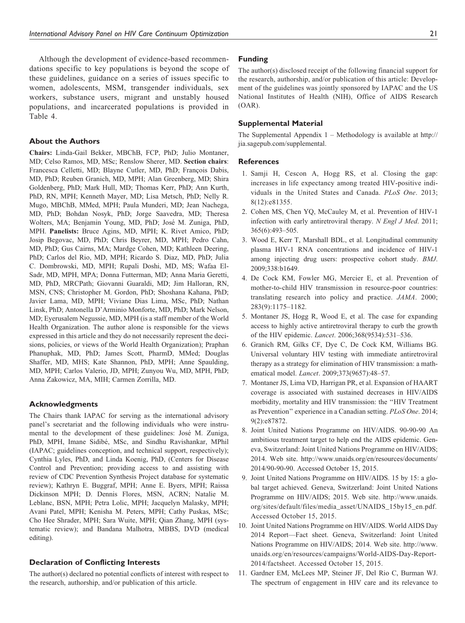Although the development of evidence-based recommendations specific to key populations is beyond the scope of these guidelines, guidance on a series of issues specific to women, adolescents, MSM, transgender individuals, sex workers, substance users, migrant and unstably housed populations, and incarcerated populations is provided in Table 4.

#### About the Authors

Chairs: Linda-Gail Bekker, MBChB, FCP, PhD; Julio Montaner, MD; Celso Ramos, MD, MSc; Renslow Sherer, MD. Section chairs: Francesca Celletti, MD; Blayne Cutler, MD, PhD; François Dabis, MD, PhD; Reuben Granich, MD, MPH; Alan Greenberg, MD; Shira Goldenberg, PhD; Mark Hull, MD; Thomas Kerr, PhD; Ann Kurth, PhD, RN, MPH; Kenneth Mayer, MD; Lisa Metsch, PhD; Nelly R. Mugo, MBChB, MMed, MPH; Paula Munderi, MD; Jean Nachega, MD, PhD; Bohdan Nosyk, PhD; Jorge Saavedra, MD; Theresa Wolters, MA; Benjamin Young, MD, PhD; Jose´ M. Zuniga, PhD, MPH. Panelists: Bruce Agins, MD, MPH; K. Rivet Amico, PhD; Josip Begovac, MD, PhD; Chris Beyrer, MD, MPH; Pedro Cahn, MD, PhD; Gus Cairns, MA; Mardge Cohen, MD; Kathleen Deering, PhD; Carlos del Rio, MD, MPH; Ricardo S. Diaz, MD, PhD; Julia C. Dombrowski, MD, MPH; Rupali Doshi, MD, MS; Wafaa El-Sadr, MD, MPH, MPA; Donna Futterman, MD; Anna Maria Geretti, MD, PhD, MRCPath; Giovanni Guaraldi, MD; Jim Halloran, RN, MSN, CNS; Christopher M. Gordon, PhD; Shoshana Kahana, PhD; Javier Lama, MD, MPH; Viviane Dias Lima, MSc, PhD; Nathan Linsk, PhD; Antonella D'Arminio Monforte, MD, PhD; Mark Nelson, MD; Eyerusalem Negussie, MD, MPH (is a staff member of the World Health Organization. The author alone is responsible for the views expressed in this article and they do not necessarily represent the decisions, policies, or views of the World Health Organization); Praphan Phanuphak, MD, PhD; James Scott, PharmD, MMed; Douglas Shaffer, MD, MHS; Kate Shannon, PhD, MPH; Anne Spaulding, MD, MPH; Carlos Valerio, JD, MPH; Zunyou Wu, MD, MPH, PhD; Anna Zakowicz, MA, MIH; Carmen Zorrilla, MD.

#### Acknowledgments

The Chairs thank IAPAC for serving as the international advisory panel's secretariat and the following individuals who were instrumental to the development of these guidelines: José M. Zuniga, PhD, MPH, Imane Sidibé, MSc, and Sindhu Ravishankar, MPhil (IAPAC; guidelines conception, and technical support, respectively); Cynthia Lyles, PhD, and Linda Koenig, PhD, (Centers for Disease Control and Prevention; providing access to and assisting with review of CDC Prevention Synthesis Project database for systematic review); Kathryn E. Buggraf, MPH; Anne E. Byers, MPH; Raissa Dickinson MPH; D. Dennis Flores, MSN, ACRN; Natalie M. Leblanc, BSN, MPH; Petra Lolic, MPH; Jacquelyn Malasky, MPH; Avani Patel, MPH; Kenisha M. Peters, MPH; Cathy Puskas, MSc; Cho Hee Shrader, MPH; Sara Wuite, MPH; Qian Zhang, MPH (systematic review); and Bandana Malhotra, MBBS, DVD (medical editing).

### Declaration of Conflicting Interests

The author(s) declared no potential conflicts of interest with respect to the research, authorship, and/or publication of this article.

#### Funding

The author(s) disclosed receipt of the following financial support for the research, authorship, and/or publication of this article: Development of the guidelines was jointly sponsored by IAPAC and the US National Institutes of Health (NIH), Office of AIDS Research (OAR).

#### Supplemental Material

The Supplemental Appendix 1 – Methodology is available at [http://](http://jia.sagepub.com/supplemental) [jia.sagepub.com/supplemental.](http://jia.sagepub.com/supplemental)

#### **References**

- 1. Samji H, Cescon A, Hogg RS, et al. Closing the gap: increases in life expectancy among treated HIV-positive individuals in the United States and Canada. PLoS One. 2013; 8(12):e81355.
- 2. Cohen MS, Chen YQ, McCauley M, et al. Prevention of HIV-1 infection with early antiretroviral therapy. N Engl J Med. 2011; 365(6):493–505.
- 3. Wood E, Kerr T, Marshall BDL, et al. Longitudinal community plasma HIV-1 RNA concentrations and incidence of HIV-1 among injecting drug users: prospective cohort study. BMJ. 2009;338:b1649.
- 4. De Cock KM, Fowler MG, Mercier E, et al. Prevention of mother-to-child HIV transmission in resource-poor countries: translating research into policy and practice. JAMA. 2000; 283(9):1175–1182.
- 5. Montaner JS, Hogg R, Wood E, et al. The case for expanding access to highly active antiretroviral therapy to curb the growth of the HIV epidemic. Lancet. 2006;368(9534):531–536.
- 6. Granich RM, Gilks CF, Dye C, De Cock KM, Williams BG. Universal voluntary HIV testing with immediate antiretroviral therapy as a strategy for elimination of HIV transmission: a mathematical model. *Lancet*. 2009;373(9657):48-57.
- 7. Montaner JS, Lima VD, Harrigan PR, et al. Expansion of HAART coverage is associated with sustained decreases in HIV/AIDS morbidity, mortality and HIV transmission: the ''HIV Treatment as Prevention'' experience in a Canadian setting. PLoS One. 2014; 9(2):e87872.
- 8. Joint United Nations Programme on HIV/AIDS. 90-90-90 An ambitious treatment target to help end the AIDS epidemic. Geneva, Switzerland: Joint United Nations Programme on HIV/AIDS; 2014. Web site. [http://www.unaids.org/en/resources/documents/](http://www.unaids.org/en/resources/documents/2014/90-90-90) [2014/90-90-90.](http://www.unaids.org/en/resources/documents/2014/90-90-90) Accessed October 15, 2015.
- 9. Joint United Nations Programme on HIV/AIDS. 15 by 15: a global target achieved. Geneva, Switzerland: Joint United Nations Programme on HIV/AIDS; 2015. Web site. [http://www.unaids.](http://www.unaids.org/sites/default/files/media_asset/UNAIDS_15by15_en.pdf) [org/sites/default/files/media\\_asset/UNAIDS\\_15by15\\_en.pdf](http://www.unaids.org/sites/default/files/media_asset/UNAIDS_15by15_en.pdf). Accessed October 15, 2015.
- 10. Joint United Nations Programme on HIV/AIDS. World AIDS Day 2014 Report—Fact sheet. Geneva, Switzerland: Joint United Nations Programme on HIV/AIDS; 2014. Web site. [http://www.](http://www.unaids.org/en/resources/campaigns/World-AIDS-Day-Report-2014/factsheet) [unaids.org/en/resources/campaigns/World-AIDS-Day-Report-](http://www.unaids.org/en/resources/campaigns/World-AIDS-Day-Report-2014/factsheet)[2014/factsheet.](http://www.unaids.org/en/resources/campaigns/World-AIDS-Day-Report-2014/factsheet) Accessed October 15, 2015.
- 11. Gardner EM, McLees MP, Steiner JF, Del Rio C, Burman WJ. The spectrum of engagement in HIV care and its relevance to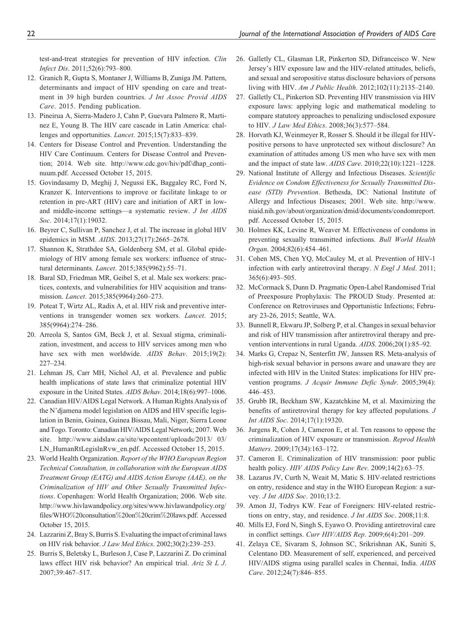test-and-treat strategies for prevention of HIV infection. Clin Infect Dis. 2011;52(6):793–800.

- 12. Granich R, Gupta S, Montaner J, Williams B, Zuniga JM. Pattern, determinants and impact of HIV spending on care and treatment in 39 high burden countries. J Int Assoc Provid AIDS Care. 2015. Pending publication.
- 13. Pineirua A, Sierra-Madero J, Cahn P, Guevara Palmero R, Martinez E, Young B. The HIV care cascade in Latin America: challenges and opportunities. Lancet. 2015;15(7):833–839.
- 14. Centers for Disease Control and Prevention. Understanding the HIV Care Continuum. Centers for Disease Control and Prevention; 2014. Web site. [http://www.cdc.gov/hiv/pdf/dhap\\_conti](http://www.cdc.gov/hiv/pdf/dhap_continuum.pdf)[nuum.pdf](http://www.cdc.gov/hiv/pdf/dhap_continuum.pdf). Accessed October 15, 2015.
- 15. Govindasamy D, Meghij J, Negussi EK, Baggaley RC, Ford N, Kranzer K. Interventions to improve or facilitate linkage to or retention in pre-ART (HIV) care and initiation of ART in lowand middle-income settings—a systematic review. J Int AIDS Soc. 2014;17(1):19032.
- 16. Beyrer C, Sullivan P, Sanchez J, et al. The increase in global HIV epidemics in MSM. AIDS. 2013;27(17):2665–2678.
- 17. Shannon K, Strathdee SA, Goldenberg SM, et al. Global epidemiology of HIV among female sex workers: influence of structural determinants. Lancet. 2015;385(9962):55–71.
- 18. Baral SD, Friedman MR, Geibel S, et al. Male sex workers: practices, contexts, and vulnerabilities for HIV acquisition and transmission. Lancet. 2015;385(9964):260–273.
- 19. Poteat T, Wirtz AL, Radix A, et al. HIV risk and preventive interventions in transgender women sex workers. Lancet. 2015; 385(9964):274–286.
- 20. Arreola S, Santos GM, Beck J, et al. Sexual stigma, criminalization, investment, and access to HIV services among men who have sex with men worldwide. AIDS Behav. 2015;19(2): 227–234.
- 21. Lehman JS, Carr MH, Nichol AJ, et al. Prevalence and public health implications of state laws that criminalize potential HIV exposure in the United States. AIDS Behav. 2014;18(6):997–1006.
- 22. Canadian HIV/AIDS Legal Network. A Human Rights Analysis of the N'djamena model legislation on AIDS and HIV specific legislation in Benin, Guinea, Guinea Bissau, Mali, Niger, Sierra Leone and Togo. Toronto: Canadian HIV/AIDS Legal Network; 2007. Web site. [http://www.aidslaw.ca/site/wpcontent/uploads/2013/ 03/](http://www.aidslaw.ca/site/wpcontent/uploads/2013/03/LN_HumanRtLegislnRvw_en.pdf) [LN\\_HumanRtLegislnRvw\\_en.pdf.](http://www.aidslaw.ca/site/wpcontent/uploads/2013/03/LN_HumanRtLegislnRvw_en.pdf) Accessed October 15, 2015.
- 23. World Health Organization. Report of the WHO European Region Technical Consultation, in collaboration with the European AIDS Treatment Group (EATG) and AIDS Action Europe (AAE), on the Criminalization of HIV and Other Sexually Transmitted Infections. Copenhagen: World Health Organization; 2006. Web site. [http://www.hivlawandpolicy.org/sites/www.hivlawandpolicy.org/](http://www.hivlawandpolicy.org/sites/www.hivlawandpolicy.org/files/WHO%20consultation%20on%20crim%20laws.pdf) [files/WHO](http://www.hivlawandpolicy.org/sites/www.hivlawandpolicy.org/files/WHO%20consultation%20on%20crim%20laws.pdf)%[20consultation](http://www.hivlawandpolicy.org/sites/www.hivlawandpolicy.org/files/WHO%20consultation%20on%20crim%20laws.pdf)%[20on](http://www.hivlawandpolicy.org/sites/www.hivlawandpolicy.org/files/WHO%20consultation%20on%20crim%20laws.pdf)%[20crim](http://www.hivlawandpolicy.org/sites/www.hivlawandpolicy.org/files/WHO%20consultation%20on%20crim%20laws.pdf)%[20laws.pdf](http://www.hivlawandpolicy.org/sites/www.hivlawandpolicy.org/files/WHO%20consultation%20on%20crim%20laws.pdf). Accessed October 15, 2015.
- 24. Lazzarini Z, Bray S, Burris S. Evaluating the impact of criminal laws on HIV risk behavior. J Law Med Ethics. 2002;30(2):239–253.
- 25. Burris S, Beletsky L, Burleson J, Case P, Lazzarini Z. Do criminal laws effect HIV risk behavior? An empirical trial. Ariz St L J. 2007;39:467–517.
- 26. Galletly CL, Glasman LR, Pinkerton SD, Difranceisco W. New Jersey's HIV exposure law and the HIV-related attitudes, beliefs, and sexual and seropositive status disclosure behaviors of persons living with HIV. Am J Public Health. 2012;102(11):2135–2140.
- 27. Galletly CL, Pinkerton SD. Preventing HIV transmission via HIV exposure laws: applying logic and mathematical modeling to compare statutory approaches to penalizing undisclosed exposure to HIV. J Law Med Ethics. 2008;36(3):577–584.
- 28. Horvath KJ, Weinmeyer R, Rosser S. Should it be illegal for HIVpositive persons to have unprotected sex without disclosure? An examination of attitudes among US men who have sex with men and the impact of state law. AIDS Care. 2010;22(10):1221–1228.
- 29. National Institute of Allergy and Infectious Diseases. Scientific Evidence on Condom Effectiveness for Sexually Transmitted Disease (STD) Prevention. Bethesda, DC: National Institute of Allergy and Infectious Diseases; 2001. Web site. [http://www.](http://www.niaid.nih.gov/about/organization/dmid/documents/condomreport.pdf) [niaid.nih.gov/about/organization/dmid/documents/condomreport.](http://www.niaid.nih.gov/about/organization/dmid/documents/condomreport.pdf) [pdf.](http://www.niaid.nih.gov/about/organization/dmid/documents/condomreport.pdf) Accessed October 15, 2015.
- 30. Holmes KK, Levine R, Weaver M. Effectiveness of condoms in preventing sexually transmitted infections. Bull World Health Organ. 2004;82(6):454–461.
- 31. Cohen MS, Chen YQ, McCauley M, et al. Prevention of HIV-1 infection with early antiretroviral therapy. N Engl J Med. 2011; 365(6):493–505.
- 32. McCormack S, Dunn D. Pragmatic Open-Label Randomised Trial of Preexposure Prophylaxis: The PROUD Study. Presented at: Conference on Retroviruses and Opportunistic Infections; February 23-26, 2015; Seattle, WA.
- 33. Bunnell R, Ekwaru JP, Solberg P, et al. Changes in sexual behavior and risk of HIV transmission after antiretroviral therapy and prevention interventions in rural Uganda. AIDS. 2006;20(1):85–92.
- 34. Marks G, Crepaz N, Senterfitt JW, Janssen RS. Meta-analysis of high-risk sexual behavior in persons aware and unaware they are infected with HIV in the United States: implications for HIV prevention programs. J Acquir Immune Defic Syndr. 2005;39(4): 446–453.
- 35. Grubb IR, Beckham SW, Kazatchkine M, et al. Maximizing the benefits of antiretroviral therapy for key affected populations. J Int AIDS Soc. 2014;17(1):19320.
- 36. Jurgens R, Cohen J, Cameron E, et al. Ten reasons to oppose the criminalization of HIV exposure or transmission. Reprod Health Matters. 2009;17(34):163–172.
- 37. Cameron E. Criminalization of HIV transmission: poor public health policy. HIV AIDS Policy Law Rev. 2009;14(2):63–75.
- 38. Lazarus JV, Curth N, Weait M, Matic S. HIV-related restrictions on entry, residence and stay in the WHO European Region: a survey. *J Int AIDS Soc.* 2010;13:2.
- 39. Amon JJ, Todrys KW. Fear of Foreigners: HIV-related restrictions on entry, stay, and residence. J Int AIDS Soc. 2008;11:8.
- 40. Mills EJ, Ford N, Singh S, Eyawo O. Providing antiretroviral care in conflict settings. Curr HIV/AIDS Rep. 2009;6(4):201–209.
- 41. Zelaya CE, Sivaram S, Johnson SC, Srikrishnan AK, Suniti S, Celentano DD. Measurement of self, experienced, and perceived HIV/AIDS stigma using parallel scales in Chennai, India. AIDS Care. 2012;24(7):846–855.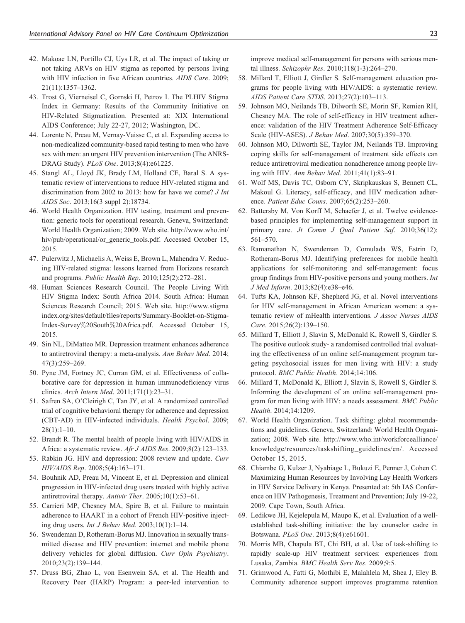- 42. Makoae LN, Portillo CJ, Uys LR, et al. The impact of taking or not taking ARVs on HIV stigma as reported by persons living with HIV infection in five African countries. AIDS Care. 2009; 21(11):1357–1362.
- 43. Trost G, Vierneisel C, Gornski H, Petrov I. The PLHIV Stigma Index in Germany: Results of the Community Initiative on HIV-Related Stigmatization. Presented at: XIX International AIDS Conference; July 22-27, 2012; Washington, DC.
- 44. Lorente N, Preau M, Vernay-Vaisse C, et al. Expanding access to non-medicalized community-based rapid testing to men who have sex with men: an urgent HIV prevention intervention (The ANRS-DRAG Study). PLoS One. 2013;8(4):e61225.
- 45. Stangl AL, Lloyd JK, Brady LM, Holland CE, Baral S. A systematic review of interventions to reduce HIV-related stigma and discrimination from 2002 to 2013: how far have we come? J Int AIDS Soc. 2013;16(3 suppl 2):18734.
- 46. World Health Organization. HIV testing, treatment and prevention: generic tools for operational research. Geneva, Switzerland: World Health Organization; 2009. Web site. [http://www.who.int/](http://www.who.int/hiv/pub/operational/or_generic_tools.pdf) [hiv/pub/operational/or\\_generic\\_tools.pdf](http://www.who.int/hiv/pub/operational/or_generic_tools.pdf). Accessed October 15, 2015.
- 47. Pulerwitz J, Michaelis A, Weiss E, Brown L, Mahendra V. Reducing HIV-related stigma: lessons learned from Horizons research and programs. Public Health Rep. 2010;125(2):272–281.
- 48. Human Sciences Research Council. The People Living With HIV Stigma Index: South Africa 2014. South Africa: Human Sciences Research Council; 2015. Web site. [http://www.stigma](http://www.stigmaindex.org/sites/default/files/reports/Summary-Booklet-on-Stigma-Index-Survey%20South%20Africa.pdf) [index.org/sites/default/files/reports/Summary-Booklet-on-Stigma-](http://www.stigmaindex.org/sites/default/files/reports/Summary-Booklet-on-Stigma-Index-Survey%20South%20Africa.pdf)[Index-Survey](http://www.stigmaindex.org/sites/default/files/reports/Summary-Booklet-on-Stigma-Index-Survey%20South%20Africa.pdf)%[20South](http://www.stigmaindex.org/sites/default/files/reports/Summary-Booklet-on-Stigma-Index-Survey%20South%20Africa.pdf)%[20Africa.pdf.](http://www.stigmaindex.org/sites/default/files/reports/Summary-Booklet-on-Stigma-Index-Survey%20South%20Africa.pdf) Accessed October 15, 2015.
- 49. Sin NL, DiMatteo MR. Depression treatment enhances adherence to antiretroviral therapy: a meta-analysis. Ann Behav Med. 2014; 47(3):259–269.
- 50. Pyne JM, Fortney JC, Curran GM, et al. Effectiveness of collaborative care for depression in human immunodeficiency virus clinics. Arch Intern Med. 2011;171(1):23–31.
- 51. Safren SA, O'Cleirigh C, Tan JY, et al. A randomized controlled trial of cognitive behavioral therapy for adherence and depression (CBT-AD) in HIV-infected individuals. Health Psychol. 2009;  $28(1):1-10.$
- 52. Brandt R. The mental health of people living with HIV/AIDS in Africa: a systematic review. Afr J AIDS Res. 2009;8(2):123–133.
- 53. Rabkin JG. HIV and depression: 2008 review and update. Curr HIV/AIDS Rep. 2008;5(4):163–171.
- 54. Bouhnik AD, Preau M, Vincent E, et al. Depression and clinical progression in HIV-infected drug users treated with highly active antiretroviral therapy. Antivir Ther. 2005;10(1):53–61.
- 55. Carrieri MP, Chesney MA, Spire B, et al. Failure to maintain adherence to HAART in a cohort of French HIV-positive injecting drug users. *Int J Behav Med.*  $2003;10(1):1-14$ .
- 56. Swendeman D, Rotheram-Borus MJ. Innovation in sexually transmitted disease and HIV prevention: internet and mobile phone delivery vehicles for global diffusion. Curr Opin Psychiatry. 2010;23(2):139–144.
- 57. Druss BG, Zhao L, von Esenwein SA, et al. The Health and Recovery Peer (HARP) Program: a peer-led intervention to

improve medical self-management for persons with serious mental illness. Schizophr Res. 2010;118(1-3):264–270.

- 58. Millard T, Elliott J, Girdler S. Self-management education programs for people living with HIV/AIDS: a systematic review. AIDS Patient Care STDS. 2013;27(2):103–113.
- 59. Johnson MO, Neilands TB, Dilworth SE, Morin SF, Remien RH, Chesney MA. The role of self-efficacy in HIV treatment adherence: validation of the HIV Treatment Adherence Self-Efficacy Scale (HIV-ASES). J Behav Med. 2007;30(5):359–370.
- 60. Johnson MO, Dilworth SE, Taylor JM, Neilands TB. Improving coping skills for self-management of treatment side effects can reduce antiretroviral medication nonadherence among people living with HIV. Ann Behav Med. 2011;41(1):83–91.
- 61. Wolf MS, Davis TC, Osborn CY, Skripkauskas S, Bennett CL, Makoul G. Literacy, self-efficacy, and HIV medication adherence. Patient Educ Couns. 2007;65(2):253–260.
- 62. Battersby M, Von Korff M, Schaefer J, et al. Twelve evidencebased principles for implementing self-management support in primary care. Jt Comm J Qual Patient Saf. 2010;36(12): 561–570.
- 63. Ramanathan N, Swendeman D, Comulada WS, Estrin D, Rotheram-Borus MJ. Identifying preferences for mobile health applications for self-monitoring and self-management: focus group findings from HIV-positive persons and young mothers. Int J Med Inform. 2013;82(4):e38–e46.
- 64. Tufts KA, Johnson KF, Shepherd JG, et al. Novel interventions for HIV self-management in African American women: a systematic review of mHealth interventions. J Assoc Nurses AIDS Care. 2015;26(2):139–150.
- 65. Millard T, Elliott J, Slavin S, McDonald K, Rowell S, Girdler S. The positive outlook study- a randomised controlled trial evaluating the effectiveness of an online self-management program targeting psychosocial issues for men living with HIV: a study protocol. BMC Public Health. 2014;14:106.
- 66. Millard T, McDonald K, Elliott J, Slavin S, Rowell S, Girdler S. Informing the development of an online self-management program for men living with HIV: a needs assessment. BMC Public Health. 2014;14:1209.
- 67. World Health Organization. Task shifting: global recommendations and guidelines. Geneva, Switzerland: World Health Organization; 2008. Web site. [http://www.who.int/workforcealliance/](http://www.who.int/workforcealliance/knowledge/resources/taskshifting_guidelines/en/) [knowledge/resources/taskshifting\\_guidelines/en/](http://www.who.int/workforcealliance/knowledge/resources/taskshifting_guidelines/en/). Accessed October 15, 2015.
- 68. Chiambe G, Kulzer J, Nyabiage L, Bukuzi E, Penner J, Cohen C. Maximizing Human Resources by Involving Lay Health Workers in HIV Service Delivery in Kenya. Presented at: 5th IAS Conference on HIV Pathogenesis, Treatment and Prevention; July 19-22, 2009. Cape Town, South Africa.
- 69. Ledikwe JH, Kejelepula M, Maupo K, et al. Evaluation of a wellestablished task-shifting initiative: the lay counselor cadre in Botswana. PLoS One. 2013;8(4):e61601.
- 70. Morris MB, Chapula BT, Chi BH, et al. Use of task-shifting to rapidly scale-up HIV treatment services: experiences from Lusaka, Zambia. BMC Health Serv Res. 2009;9:5.
- 71. Grimwood A, Fatti G, Mothibi E, Malahlela M, Shea J, Eley B. Community adherence support improves programme retention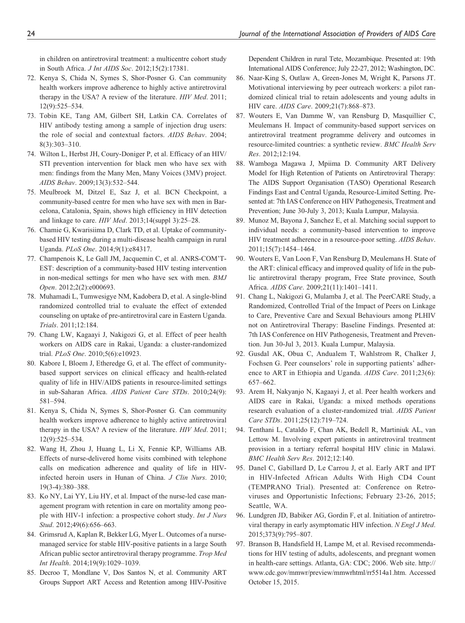in children on antiretroviral treatment: a multicentre cohort study in South Africa. J Int AIDS Soc. 2012;15(2):17381.

- 72. Kenya S, Chida N, Symes S, Shor-Posner G. Can community health workers improve adherence to highly active antiretroviral therapy in the USA? A review of the literature. HIV Med. 2011; 12(9):525–534.
- 73. Tobin KE, Tang AM, Gilbert SH, Latkin CA. Correlates of HIV antibody testing among a sample of injection drug users: the role of social and contextual factors. AIDS Behav. 2004; 8(3):303–310.
- 74. Wilton L, Herbst JH, Coury-Doniger P, et al. Efficacy of an HIV/ STI prevention intervention for black men who have sex with men: findings from the Many Men, Many Voices (3MV) project. AIDS Behav. 2009;13(3):532–544.
- 75. Meulbroek M, Ditzel E, Saz J, et al. BCN Checkpoint, a community-based centre for men who have sex with men in Barcelona, Catalonia, Spain, shows high efficiency in HIV detection and linkage to care. HIV Med. 2013;14(suppl 3):25–28.
- 76. Chamie G, Kwarisiima D, Clark TD, et al. Uptake of communitybased HIV testing during a multi-disease health campaign in rural Uganda. PLoS One. 2014;9(1):e84317.
- 77. Champenois K, Le Gall JM, Jacquemin C, et al. ANRS-COM'T-EST: description of a community-based HIV testing intervention in non-medical settings for men who have sex with men. BMJ Open. 2012;2(2):e000693.
- 78. Muhamadi L, Tumwesigye NM, Kadobera D, et al. A single-blind randomized controlled trial to evaluate the effect of extended counseling on uptake of pre-antiretroviral care in Eastern Uganda. Trials. 2011;12:184.
- 79. Chang LW, Kagaayi J, Nakigozi G, et al. Effect of peer health workers on AIDS care in Rakai, Uganda: a cluster-randomized trial. PLoS One. 2010;5(6):e10923.
- 80. Kabore I, Bloem J, Etheredge G, et al. The effect of communitybased support services on clinical efficacy and health-related quality of life in HIV/AIDS patients in resource-limited settings in sub-Saharan Africa. AIDS Patient Care STDs. 2010;24(9): 581–594.
- 81. Kenya S, Chida N, Symes S, Shor-Posner G. Can community health workers improve adherence to highly active antiretroviral therapy in the USA? A review of the literature. HIV Med. 2011; 12(9):525–534.
- 82. Wang H, Zhou J, Huang L, Li X, Fennie KP, Williams AB. Effects of nurse-delivered home visits combined with telephone calls on medication adherence and quality of life in HIVinfected heroin users in Hunan of China. J Clin Nurs. 2010; 19(3-4):380–388.
- 83. Ko NY, Lai YY, Liu HY, et al. Impact of the nurse-led case management program with retention in care on mortality among people with HIV-1 infection: a prospective cohort study. Int J Nurs Stud. 2012;49(6):656-663.
- 84. Grimsrud A, Kaplan R, Bekker LG, Myer L. Outcomes of a nursemanaged service for stable HIV-positive patients in a large South African public sector antiretroviral therapy programme. Trop Med Int Health. 2014;19(9):1029–1039.
- 85. Decroo T, Mondlane V, Dos Santos N, et al. Community ART Groups Support ART Access and Retention among HIV-Positive

Dependent Children in rural Tete, Mozambique. Presented at: 19th International AIDS Conference; July 22-27, 2012; Washington, DC.

- 86. Naar-King S, Outlaw A, Green-Jones M, Wright K, Parsons JT. Motivational interviewing by peer outreach workers: a pilot randomized clinical trial to retain adolescents and young adults in HIV care. AIDS Care. 2009;21(7):868–873.
- 87. Wouters E, Van Damme W, van Rensburg D, Masquillier C, Meulemans H. Impact of community-based support services on antiretroviral treatment programme delivery and outcomes in resource-limited countries: a synthetic review. BMC Health Serv Res. 2012;12:194.
- 88. Wamboga Magawa J, Mpiima D. Community ART Delivery Model for High Retention of Patients on Antiretroviral Therapy: The AIDS Support Organisation (TASO) Operational Research Findings East and Central Uganda, Resource-Limited Setting. Presented at: 7th IAS Conference on HIV Pathogenesis, Treatment and Prevention; June 30-July 3, 2013; Kuala Lumpur, Malaysia.
- 89. Munoz M, Bayona J, Sanchez E, et al. Matching social support to individual needs: a community-based intervention to improve HIV treatment adherence in a resource-poor setting. AIDS Behav. 2011;15(7):1454–1464.
- 90. Wouters E, Van Loon F, Van Rensburg D, Meulemans H. State of the ART: clinical efficacy and improved quality of life in the public antiretroviral therapy program, Free State province, South Africa. AIDS Care. 2009;21(11):1401–1411.
- 91. Chang L, Nakigozi G, Mulamba J, et al. The PeerCARE Study, a Randomized, Controlled Trial of the Impact of Peers on Linkage to Care, Preventive Care and Sexual Behaviours among PLHIV not on Antiretroviral Therapy: Baseline Findings. Presented at: 7th IAS Conference on HIV Pathogenesis, Treatment and Prevention. Jun 30-Jul 3, 2013. Kuala Lumpur, Malaysia.
- 92. Gusdal AK, Obua C, Andualem T, Wahlstrom R, Chalker J, Fochsen G. Peer counselors' role in supporting patients' adherence to ART in Ethiopia and Uganda. AIDS Care. 2011;23(6): 657–662.
- 93. Arem H, Nakyanjo N, Kagaayi J, et al. Peer health workers and AIDS care in Rakai, Uganda: a mixed methods operations research evaluation of a cluster-randomized trial. AIDS Patient Care STDs. 2011;25(12):719–724.
- 94. Tenthani L, Cataldo F, Chan AK, Bedell R, Martiniuk AL, van Lettow M. Involving expert patients in antiretroviral treatment provision in a tertiary referral hospital HIV clinic in Malawi. BMC Health Serv Res. 2012;12:140.
- 95. Danel C, Gabillard D, Le Carrou J, et al. Early ART and IPT in HIV-Infected African Adults With High CD4 Count (TEMPRANO Trial). Presented at: Conference on Retroviruses and Opportunistic Infections; February 23-26, 2015; Seattle, WA.
- 96. Lundgren JD, Babiker AG, Gordin F, et al. Initiation of antiretroviral therapy in early asymptomatic HIV infection. N Engl J Med. 2015;373(9):795–807.
- 97. Branson B, Handsfield H, Lampe M, et al. Revised recommendations for HIV testing of adults, adolescents, and pregnant women in health-care settings. Atlanta, GA: CDC; 2006. Web site. [http://](http://www.cdc.gov/mmwr/preview/mmwrhtml/rr5514a1.htm) [www.cdc.gov/mmwr/preview/mmwrhtml/rr5514a1.htm.](http://www.cdc.gov/mmwr/preview/mmwrhtml/rr5514a1.htm) Accessed October 15, 2015.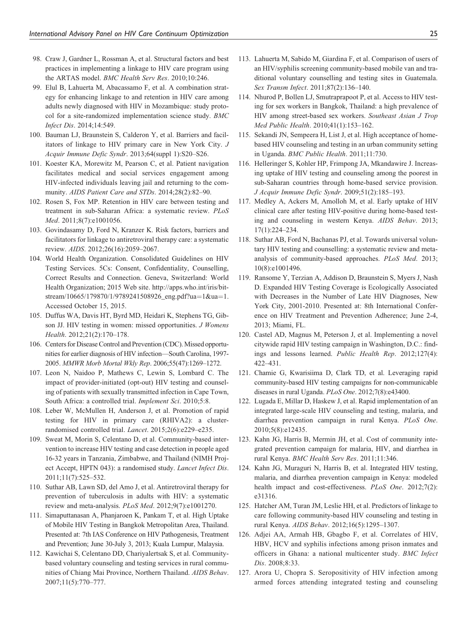- 98. Craw J, Gardner L, Rossman A, et al. Structural factors and best practices in implementing a linkage to HIV care program using the ARTAS model. BMC Health Serv Res. 2010;10:246.
- 99. Elul B, Lahuerta M, Abacassamo F, et al. A combination strategy for enhancing linkage to and retention in HIV care among adults newly diagnosed with HIV in Mozambique: study protocol for a site-randomized implementation science study. BMC Infect Dis. 2014;14:549.
- 100. Bauman LJ, Braunstein S, Calderon Y, et al. Barriers and facilitators of linkage to HIV primary care in New York City. J Acquir Immune Defic Syndr. 2013;64(suppl 1):S20–S26.
- 101. Koester KA, Morewitz M, Pearson C, et al. Patient navigation facilitates medical and social services engagement among HIV-infected individuals leaving jail and returning to the community. AIDS Patient Care and STDs. 2014;28(2):82–90.
- 102. Rosen S, Fox MP. Retention in HIV care between testing and treatment in sub-Saharan Africa: a systematic review. PLoS Med. 2011;8(7):e1001056.
- 103. Govindasamy D, Ford N, Kranzer K. Risk factors, barriers and facilitators for linkage to antiretroviral therapy care: a systematic review. AIDS. 2012;26(16):2059–2067.
- 104. World Health Organization. Consolidated Guidelines on HIV Testing Services. 5Cs: Consent, Confidentiality, Counselling, Correct Results and Connection. Geneva, Switzerland: World Health Organization; 2015 Web site. [http://apps.who.int/iris/bit](http://apps.who.int/iris/bitstream/10665/179870/1/9789241508926_eng.pdf?ua=1&ua=1)[stream/10665/179870/1/9789241508926\\_eng.pdf?ua](http://apps.who.int/iris/bitstream/10665/179870/1/9789241508926_eng.pdf?ua=1&ua=1)=[1&ua](http://apps.who.int/iris/bitstream/10665/179870/1/9789241508926_eng.pdf?ua=1&ua=1)=[1.](http://apps.who.int/iris/bitstream/10665/179870/1/9789241508926_eng.pdf?ua=1&ua=1) Accessed October 15, 2015.
- 105. Duffus WA, Davis HT, Byrd MD, Heidari K, Stephens TG, Gibson JJ. HIV testing in women: missed opportunities. *J Womens* Health. 2012;21(2):170–178.
- 106. Centers for Disease Control and Prevention (CDC). Missed opportunities for earlier diagnosis of HIV infection—South Carolina, 1997- 2005. MMWR Morb Mortal Wkly Rep. 2006;55(47):1269–1272.
- 107. Leon N, Naidoo P, Mathews C, Lewin S, Lombard C. The impact of provider-initiated (opt-out) HIV testing and counseling of patients with sexually transmitted infection in Cape Town, South Africa: a controlled trial. Implement Sci. 2010;5:8.
- 108. Leber W, McMullen H, Anderson J, et al. Promotion of rapid testing for HIV in primary care (RHIVA2): a clusterrandomised controlled trial. Lancet. 2015;2(6):e229–e235.
- 109. Sweat M, Morin S, Celentano D, et al. Community-based intervention to increase HIV testing and case detection in people aged 16-32 years in Tanzania, Zimbabwe, and Thailand (NIMH Project Accept, HPTN 043): a randomised study. Lancet Infect Dis. 2011;11(7):525–532.
- 110. Suthar AB, Lawn SD, del Amo J, et al. Antiretroviral therapy for prevention of tuberculosis in adults with HIV: a systematic review and meta-analysis. PLoS Med. 2012;9(7):e1001270.
- 111. Simaputtanasan A, Phanjaroen K, Pankam T, et al. High Uptake of Mobile HIV Testing in Bangkok Metropolitan Area, Thailand. Presented at: 7th IAS Conference on HIV Pathogenesis, Treatment and Prevention; June 30-July 3, 2013; Kuala Lumpur, Malaysia.
- 112. Kawichai S, Celentano DD, Chariyalertsak S, et al. Communitybased voluntary counseling and testing services in rural communities of Chiang Mai Province, Northern Thailand. AIDS Behav. 2007;11(5):770–777.
- 113. Lahuerta M, Sabido M, Giardina F, et al. Comparison of users of an HIV/syphilis screening community-based mobile van and traditional voluntary counselling and testing sites in Guatemala. Sex Transm Infect. 2011;87(2):136–140.
- 114. Nhurod P, Bollen LJ, Smutraprapoot P, et al. Access to HIV testing for sex workers in Bangkok, Thailand: a high prevalence of HIV among street-based sex workers. Southeast Asian J Trop Med Public Health. 2010;41(1):153–162.
- 115. Sekandi JN, Sempeera H, List J, et al. High acceptance of homebased HIV counseling and testing in an urban community setting in Uganda. BMC Public Health. 2011;11:730.
- 116. Helleringer S, Kohler HP, Frimpong JA, Mkandawire J. Increasing uptake of HIV testing and counseling among the poorest in sub-Saharan countries through home-based service provision. J Acquir Immune Defic Syndr. 2009;51(2):185–193.
- 117. Medley A, Ackers M, Amolloh M, et al. Early uptake of HIV clinical care after testing HIV-positive during home-based testing and counseling in western Kenya. AIDS Behav. 2013; 17(1):224–234.
- 118. Suthar AB, Ford N, Bachanas PJ, et al. Towards universal voluntary HIV testing and counselling: a systematic review and metaanalysis of community-based approaches. PLoS Med. 2013; 10(8):e1001496.
- 119. Ransome Y, Terzian A, Addison D, Braunstein S, Myers J, Nash D. Expanded HIV Testing Coverage is Ecologically Associated with Decreases in the Number of Late HIV Diagnoses, New York City, 2001-2010. Presented at: 8th International Conference on HIV Treatment and Prevention Adherence; June 2-4, 2013; Miami, FL.
- 120. Castel AD, Magnus M, Peterson J, et al. Implementing a novel citywide rapid HIV testing campaign in Washington, D.C.: findings and lessons learned. Public Health Rep. 2012;127(4): 422–431.
- 121. Chamie G, Kwarisiima D, Clark TD, et al. Leveraging rapid community-based HIV testing campaigns for non-communicable diseases in rural Uganda. PLoS One. 2012;7(8):e43400.
- 122. Lugada E, Millar D, Haskew J, et al. Rapid implementation of an integrated large-scale HIV counseling and testing, malaria, and diarrhea prevention campaign in rural Kenya. PLoS One. 2010;5(8):e12435.
- 123. Kahn JG, Harris B, Mermin JH, et al. Cost of community integrated prevention campaign for malaria, HIV, and diarrhea in rural Kenya. BMC Health Serv Res. 2011;11:346.
- 124. Kahn JG, Muraguri N, Harris B, et al. Integrated HIV testing, malaria, and diarrhea prevention campaign in Kenya: modeled health impact and cost-effectiveness. PLoS One. 2012;7(2): e31316.
- 125. Hatcher AM, Turan JM, Leslie HH, et al. Predictors of linkage to care following community-based HIV counseling and testing in rural Kenya. AIDS Behav. 2012;16(5):1295–1307.
- 126. Adjei AA, Armah HB, Gbagbo F, et al. Correlates of HIV, HBV, HCV and syphilis infections among prison inmates and officers in Ghana: a national multicenter study. BMC Infect Dis. 2008;8:33.
- 127. Arora U, Chopra S. Seropositivity of HIV infection among armed forces attending integrated testing and counseling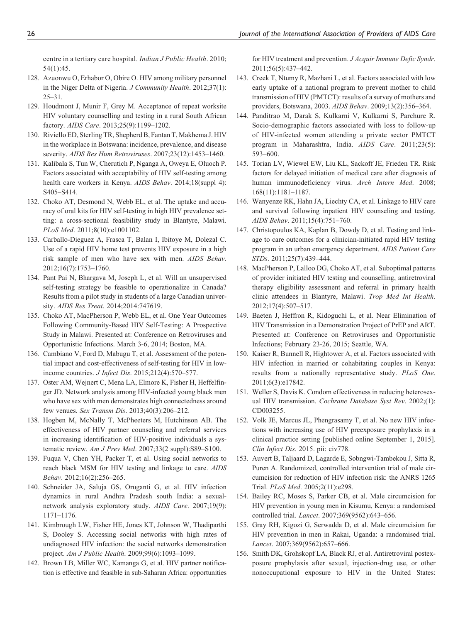centre in a tertiary care hospital. Indian J Public Health. 2010; 54(1):45.

- 128. Azuonwu O, Erhabor O, Obire O. HIV among military personnel in the Niger Delta of Nigeria. J Community Health. 2012;37(1): 25–31.
- 129. Houdmont J, Munir F, Grey M. Acceptance of repeat worksite HIV voluntary counselling and testing in a rural South African factory. AIDS Care. 2013;25(9):1199–1202.
- 130. Riviello ED, Sterling TR, Shepherd B, Fantan T, Makhema J. HIV in the workplace in Botswana: incidence, prevalence, and disease severity. AIDS Res Hum Retroviruses. 2007;23(12):1453-1460.
- 131. Kalibala S, Tun W, Cherutich P, Nganga A, Oweya E, Oluoch P. Factors associated with acceptability of HIV self-testing among health care workers in Kenya. AIDS Behav. 2014;18(suppl 4): S405–S414.
- 132. Choko AT, Desmond N, Webb EL, et al. The uptake and accuracy of oral kits for HIV self-testing in high HIV prevalence setting: a cross-sectional feasibility study in Blantyre, Malawi. PLoS Med. 2011;8(10):e1001102.
- 133. Carballo-Dieguez A, Frasca T, Balan I, Ibitoye M, Dolezal C. Use of a rapid HIV home test prevents HIV exposure in a high risk sample of men who have sex with men. AIDS Behav. 2012;16(7):1753–1760.
- 134. Pant Pai N, Bhargava M, Joseph L, et al. Will an unsupervised self-testing strategy be feasible to operationalize in Canada? Results from a pilot study in students of a large Canadian university. AIDS Res Treat. 2014;2014:747619.
- 135. Choko AT, MacPherson P, Webb EL, et al. One Year Outcomes Following Community-Based HIV Self-Testing: A Prospective Study in Malawi. Presented at: Conference on Retroviruses and Opportunistic Infections. March 3-6, 2014; Boston, MA.
- 136. Cambiano V, Ford D, Mabugu T, et al. Assessment of the potential impact and cost-effectiveness of self-testing for HIV in lowincome countries. J Infect Dis. 2015;212(4):570–577.
- 137. Oster AM, Wejnert C, Mena LA, Elmore K, Fisher H, Heffelfinger JD. Network analysis among HIV-infected young black men who have sex with men demonstrates high connectedness around few venues. Sex Transm Dis. 2013;40(3):206–212.
- 138. Hogben M, McNally T, McPheeters M, Hutchinson AB. The effectiveness of HIV partner counseling and referral services in increasing identification of HIV-positive individuals a systematic review. Am J Prev Med. 2007;33(2 suppl):S89-S100.
- 139. Fuqua V, Chen YH, Packer T, et al. Using social networks to reach black MSM for HIV testing and linkage to care. AIDS Behav. 2012;16(2):256–265.
- 140. Schneider JA, Saluja GS, Oruganti G, et al. HIV infection dynamics in rural Andhra Pradesh south India: a sexualnetwork analysis exploratory study. AIDS Care. 2007;19(9): 1171–1176.
- 141. Kimbrough LW, Fisher HE, Jones KT, Johnson W, Thadiparthi S, Dooley S. Accessing social networks with high rates of undiagnosed HIV infection: the social networks demonstration project. Am J Public Health. 2009;99(6):1093-1099.
- 142. Brown LB, Miller WC, Kamanga G, et al. HIV partner notification is effective and feasible in sub-Saharan Africa: opportunities

for HIV treatment and prevention. J Acquir Immune Defic Syndr. 2011;56(5):437–442.

- 143. Creek T, Ntumy R, Mazhani L, et al. Factors associated with low early uptake of a national program to prevent mother to child transmission of HIV (PMTCT): results of a survey of mothers and providers, Botswana, 2003. AIDS Behav. 2009;13(2):356–364.
- 144. Panditrao M, Darak S, Kulkarni V, Kulkarni S, Parchure R. Socio-demographic factors associated with loss to follow-up of HIV-infected women attending a private sector PMTCT program in Maharashtra, India. AIDS Care. 2011;23(5): 593–600.
- 145. Torian LV, Wiewel EW, Liu KL, Sackoff JE, Frieden TR. Risk factors for delayed initiation of medical care after diagnosis of human immunodeficiency virus. Arch Intern Med. 2008; 168(11):1181–1187.
- 146. Wanyenze RK, Hahn JA, Liechty CA, et al. Linkage to HIV care and survival following inpatient HIV counseling and testing. AIDS Behav. 2011;15(4):751–760.
- 147. Christopoulos KA, Kaplan B, Dowdy D, et al. Testing and linkage to care outcomes for a clinician-initiated rapid HIV testing program in an urban emergency department. AIDS Patient Care STDs. 2011;25(7):439–444.
- 148. MacPherson P, Lalloo DG, Choko AT, et al. Suboptimal patterns of provider initiated HIV testing and counselling, antiretroviral therapy eligibility assessment and referral in primary health clinic attendees in Blantyre, Malawi. Trop Med Int Health. 2012;17(4):507–517.
- 149. Baeten J, Heffron R, Kidoguchi L, et al. Near Elimination of HIV Transmission in a Demonstration Project of PrEP and ART. Presented at: Conference on Retroviruses and Opportunistic Infections; February 23-26, 2015; Seattle, WA.
- 150. Kaiser R, Bunnell R, Hightower A, et al. Factors associated with HIV infection in married or cohabitating couples in Kenya: results from a nationally representative study. PLoS One. 2011;6(3):e17842.
- 151. Weller S, Davis K. Condom effectiveness in reducing heterosexual HIV transmission. Cochrane Database Syst Rev. 2002;(1): CD003255.
- 152. Volk JE, Marcus JL, Phengrasamy T, et al. No new HIV infections with increasing use of HIV preexposure prophylaxis in a clinical practice setting [published online September 1, 2015]. Clin Infect Dis. 2015. pii: civ778.
- 153. Auvert B, Taljaard D, Lagarde E, Sobngwi-Tambekou J, Sitta R, Puren A. Randomized, controlled intervention trial of male circumcision for reduction of HIV infection risk: the ANRS 1265 Trial. PLoS Med. 2005;2(11):e298.
- 154. Bailey RC, Moses S, Parker CB, et al. Male circumcision for HIV prevention in young men in Kisumu, Kenya: a randomised controlled trial. Lancet. 2007;369(9562):643–656.
- 155. Gray RH, Kigozi G, Serwadda D, et al. Male circumcision for HIV prevention in men in Rakai, Uganda: a randomised trial. Lancet. 2007;369(9562):657–666.
- 156. Smith DK, Grohskopf LA, Black RJ, et al. Antiretroviral postexposure prophylaxis after sexual, injection-drug use, or other nonoccupational exposure to HIV in the United States: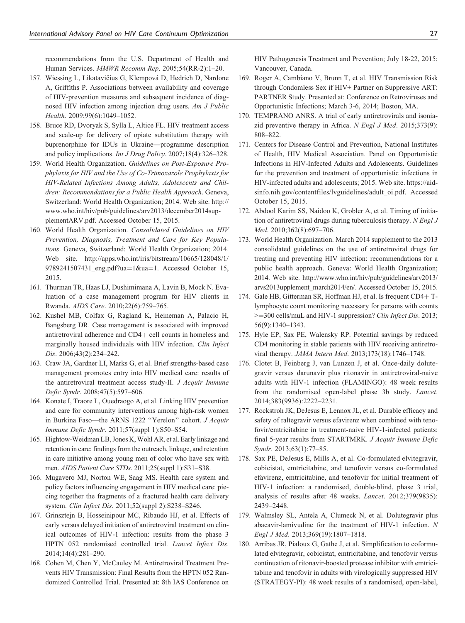recommendations from the U.S. Department of Health and Human Services. MMWR Recomm Rep. 2005;54(RR-2):1–20.

- 157. Wiessing L, Likatavičius G, Klempová D, Hedrich D, Nardone A, Griffiths P. Associations between availability and coverage of HIV-prevention measures and subsequent incidence of diagnosed HIV infection among injection drug users. Am J Public Health. 2009;99(6):1049–1052.
- 158. Bruce RD, Dvoryak S, Sylla L, Altice FL. HIV treatment access and scale-up for delivery of opiate substitution therapy with buprenorphine for IDUs in Ukraine—programme description and policy implications. Int J Drug Policy. 2007;18(4):326–328.
- 159. World Health Organization. Guidelines on Post-Exposure Prophylaxis for HIV and the Use of Co-Trimoxazole Prophylaxis for HIV-Related Infections Among Adults, Adolescents and Children: Recommendations for a Public Health Approach. Geneva, Switzerland: World Health Organization; 2014. Web site. [http://](http://www.who.int/hiv/pub/guidelines/arv2013/december2014supplementARV.pdf) [www.who.int/hiv/pub/guidelines/arv2013/december2014sup](http://www.who.int/hiv/pub/guidelines/arv2013/december2014supplementARV.pdf)[plementARV.pdf](http://www.who.int/hiv/pub/guidelines/arv2013/december2014supplementARV.pdf). Accessed October 15, 2015.
- 160. World Health Organization. Consolidated Guidelines on HIV Prevention, Diagnosis, Treatment and Care for Key Populations. Geneva, Switzerland: World Health Organization; 2014. Web site. [http://apps.who.int/iris/bitstream/10665/128048/1/](http://apps.who.int/iris/bitstream/10665/128048/1/9789241507431_eng.pdf?ua=1&ua=1) [9789241507431\\_eng.pdf?ua](http://apps.who.int/iris/bitstream/10665/128048/1/9789241507431_eng.pdf?ua=1&ua=1)=[1&ua](http://apps.who.int/iris/bitstream/10665/128048/1/9789241507431_eng.pdf?ua=1&ua=1)=[1.](http://apps.who.int/iris/bitstream/10665/128048/1/9789241507431_eng.pdf?ua=1&ua=1) Accessed October 15, 2015.
- 161. Thurman TR, Haas LJ, Dushimimana A, Lavin B, Mock N. Evaluation of a case management program for HIV clients in Rwanda. AIDS Care. 2010;22(6):759–765.
- 162. Kushel MB, Colfax G, Ragland K, Heineman A, Palacio H, Bangsberg DR. Case management is associated with improved antiretroviral adherence and  $CD4+$  cell counts in homeless and marginally housed individuals with HIV infection. Clin Infect Dis. 2006;43(2):234–242.
- 163. Craw JA, Gardner LI, Marks G, et al. Brief strengths-based case management promotes entry into HIV medical care: results of the antiretroviral treatment access study-II. J Acquir Immune Defic Syndr. 2008;47(5):597–606.
- 164. Konate I, Traore L, Ouedraogo A, et al. Linking HIV prevention and care for community interventions among high-risk women in Burkina Faso—the ARNS 1222 ''Yerelon'' cohort. J Acquir Immune Defic Syndr. 2011;57(suppl 1):S50–S54.
- 165. Hightow-Weidman LB, Jones K, Wohl AR, et al. Early linkage and retention in care: findings from the outreach, linkage, and retention in care initiative among young men of color who have sex with men. AIDS Patient Care STDs. 2011;25(suppl 1):S31–S38.
- 166. Mugavero MJ, Norton WE, Saag MS. Health care system and policy factors influencing engagement in HIV medical care: piecing together the fragments of a fractured health care delivery system. Clin Infect Dis. 2011;52(suppl 2):S238–S246.
- 167. Grinsztejn B, Hosseinipour MC, Ribaudo HJ, et al. Effects of early versus delayed initiation of antiretroviral treatment on clinical outcomes of HIV-1 infection: results from the phase 3 HPTN 052 randomised controlled trial. Lancet Infect Dis. 2014;14(4):281–290.
- 168. Cohen M, Chen Y, McCauley M. Antiretroviral Treatment Prevents HIV Transmission: Final Results from the HPTN 052 Randomized Controlled Trial. Presented at: 8th IAS Conference on

HIV Pathogenesis Treatment and Prevention; July 18-22, 2015; Vancouver, Canada.

- 169. Roger A, Cambiano V, Brunn T, et al. HIV Transmission Risk through Condomless Sex if HIV+ Partner on Suppressive ART: PARTNER Study. Presented at: Conference on Retroviruses and Opportunistic Infections; March 3-6, 2014; Boston, MA.
- 170. TEMPRANO ANRS. A trial of early antiretrovirals and isoniazid preventive therapy in Africa. N Engl J Med. 2015;373(9): 808–822.
- 171. Centers for Disease Control and Prevention, National Institutes of Health, HIV Medical Association. Panel on Opportunistic Infections in HIV-Infected Adults and Adolescents. Guidelines for the prevention and treatment of opportunistic infections in HIV-infected adults and adolescents; 2015. Web site. [https://aid](https://aidsinfo.nih.gov/contentfiles/lvguidelines/adult_oi.pdf)[sinfo.nih.gov/contentfiles/lvguidelines/adult\\_oi.pdf](https://aidsinfo.nih.gov/contentfiles/lvguidelines/adult_oi.pdf). Accessed October 15, 2015.
- 172. Abdool Karim SS, Naidoo K, Grobler A, et al. Timing of initiation of antiretroviral drugs during tuberculosis therapy. N Engl J Med. 2010;362(8):697–706.
- 173. World Health Organization. March 2014 supplement to the 2013 consolidated guidelines on the use of antiretroviral drugs for treating and preventing HIV infection: recommendations for a public health approach. Geneva: World Health Organization; 2014. Web site. [http://www.who.int/hiv/pub/guidelines/arv2013/](http://www.who.int/hiv/pub/guidelines/arv2013/arvs2013upplement_march2014/en/) [arvs2013upplement\\_march2014/en/.](http://www.who.int/hiv/pub/guidelines/arv2013/arvs2013upplement_march2014/en/) Accessed October 15, 2015.
- 174. Gale HB, Gitterman SR, Hoffman HJ, et al. Is frequent  $CD4+T$ lymphocyte count monitoring necessary for persons with counts >=300 cells/muL and HIV-1 suppression? Clin Infect Dis. 2013; 56(9):1340–1343.
- 175. Hyle EP, Sax PE, Walensky RP. Potential savings by reduced CD4 monitoring in stable patients with HIV receiving antiretroviral therapy. JAMA Intern Med. 2013;173(18):1746–1748.
- 176. Clotet B, Feinberg J, van Lunzen J, et al. Once-daily dolutegravir versus darunavir plus ritonavir in antiretroviral-naive adults with HIV-1 infection (FLAMINGO): 48 week results from the randomised open-label phase 3b study. Lancet. 2014;383(9936):2222–2231.
- 177. Rockstroh JK, DeJesus E, Lennox JL, et al. Durable efficacy and safety of raltegravir versus efavirenz when combined with tenofovir/emtricitabine in treatment-naive HIV-1-infected patients: final 5-year results from STARTMRK. J Acquir Immune Defic Syndr. 2013;63(1):77–85.
- 178. Sax PE, DeJesus E, Mills A, et al. Co-formulated elvitegravir, cobicistat, emtricitabine, and tenofovir versus co-formulated efavirenz, emtricitabine, and tenofovir for initial treatment of HIV-1 infection: a randomised, double-blind, phase 3 trial, analysis of results after 48 weeks. Lancet. 2012;379(9835): 2439–2448.
- 179. Walmsley SL, Antela A, Clumeck N, et al. Dolutegravir plus abacavir-lamivudine for the treatment of HIV-1 infection. N Engl J Med. 2013;369(19):1807–1818.
- 180. Arribas JR, Pialoux G, Gathe J, et al. Simplification to coformulated elvitegravir, cobicistat, emtricitabine, and tenofovir versus continuation of ritonavir-boosted protease inhibitor with emtricitabine and tenofovir in adults with virologically suppressed HIV (STRATEGY-PI): 48 week results of a randomised, open-label,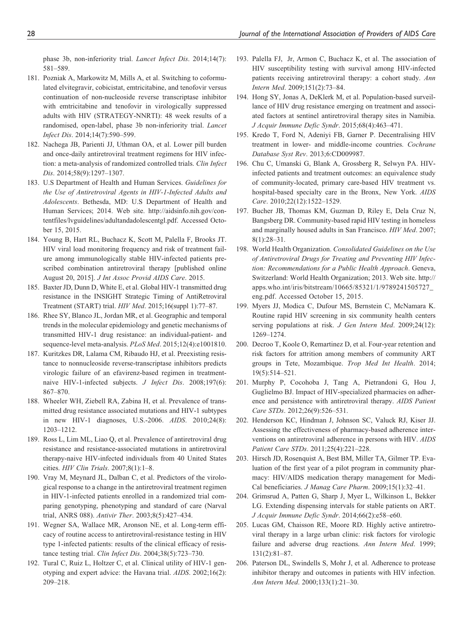phase 3b, non-inferiority trial. Lancet Infect Dis. 2014;14(7): 581–589.

- 181. Pozniak A, Markowitz M, Mills A, et al. Switching to coformulated elvitegravir, cobicistat, emtricitabine, and tenofovir versus continuation of non-nucleoside reverse transcriptase inhibitor with emtricitabine and tenofovir in virologically suppressed adults with HIV (STRATEGY-NNRTI): 48 week results of a randomised, open-label, phase 3b non-inferiority trial. Lancet Infect Dis. 2014;14(7):590–599.
- 182. Nachega JB, Parienti JJ, Uthman OA, et al. Lower pill burden and once-daily antiretroviral treatment regimens for HIV infection: a meta-analysis of randomized controlled trials. Clin Infect Dis. 2014;58(9):1297–1307.
- 183. U.S Department of Health and Human Services. Guidelines for the Use of Antiretroviral Agents in HIV-1-Infected Adults and Adolescents. Bethesda, MD: U.S Department of Health and Human Services; 2014. Web site. [http://aidsinfo.nih.gov/con](http://aidsinfo.nih.gov/contentfiles/lvguidelines/adultandadolescentgl.pdf)[tentfiles/lvguidelines/adultandadolescentgl.pdf.](http://aidsinfo.nih.gov/contentfiles/lvguidelines/adultandadolescentgl.pdf) Accessed October 15, 2015.
- 184. Young B, Hart RL, Buchacz K, Scott M, Palella F, Brooks JT. HIV viral load monitoring frequency and risk of treatment failure among immunologically stable HIV-infected patients prescribed combination antiretroviral therapy [published online August 20, 2015]. J Int Assoc Provid AIDS Care. 2015.
- 185. Baxter JD, Dunn D, White E, et al. Global HIV-1 transmitted drug resistance in the INSIGHT Strategic Timing of AntiRetroviral Treatment (START) trial. HIV Med. 2015;16(suppl 1):77–87.
- 186. Rhee SY, Blanco JL, Jordan MR, et al. Geographic and temporal trends in the molecular epidemiology and genetic mechanisms of transmitted HIV-1 drug resistance: an individual-patient- and sequence-level meta-analysis. PLoS Med. 2015;12(4):e1001810.
- 187. Kuritzkes DR, Lalama CM, Ribaudo HJ, et al. Preexisting resistance to nonnucleoside reverse-transcriptase inhibitors predicts virologic failure of an efavirenz-based regimen in treatmentnaive HIV-1-infected subjects. J Infect Dis. 2008;197(6): 867–870.
- 188. Wheeler WH, Ziebell RA, Zabina H, et al. Prevalence of transmitted drug resistance associated mutations and HIV-1 subtypes in new HIV-1 diagnoses, U.S.-2006. AIDS. 2010;24(8): 1203–1212.
- 189. Ross L, Lim ML, Liao Q, et al. Prevalence of antiretroviral drug resistance and resistance-associated mutations in antiretroviral therapy-naive HIV-infected individuals from 40 United States cities. HIV Clin Trials. 2007;8(1):1–8.
- 190. Vray M, Meynard JL, Dalban C, et al. Predictors of the virological response to a change in the antiretroviral treatment regimen in HIV-1-infected patients enrolled in a randomized trial comparing genotyping, phenotyping and standard of care (Narval trial, ANRS 088). Antivir Ther. 2003;8(5):427–434.
- 191. Wegner SA, Wallace MR, Aronson NE, et al. Long-term efficacy of routine access to antiretroviral-resistance testing in HIV type 1-infected patients: results of the clinical efficacy of resistance testing trial. Clin Infect Dis. 2004;38(5):723-730.
- 192. Tural C, Ruiz L, Holtzer C, et al. Clinical utility of HIV-1 genotyping and expert advice: the Havana trial. AIDS. 2002;16(2): 209–218.
- 193. Palella FJ, Jr, Armon C, Buchacz K, et al. The association of HIV susceptibility testing with survival among HIV-infected patients receiving antiretroviral therapy: a cohort study. Ann Intern Med. 2009;151(2):73–84.
- 194. Hong SY, Jonas A, DeKlerk M, et al. Population-based surveillance of HIV drug resistance emerging on treatment and associated factors at sentinel antiretroviral therapy sites in Namibia. J Acquir Immune Defic Syndr. 2015;68(4):463–471.
- 195. Kredo T, Ford N, Adeniyi FB, Garner P. Decentralising HIV treatment in lower- and middle-income countries. Cochrane Database Syst Rev. 2013;6:CD009987.
- 196. Chu C, Umanski G, Blank A, Grossberg R, Selwyn PA. HIVinfected patients and treatment outcomes: an equivalence study of community-located, primary care-based HIV treatment vs. hospital-based specialty care in the Bronx, New York. AIDS Care. 2010;22(12):1522–1529.
- 197. Bucher JB, Thomas KM, Guzman D, Riley E, Dela Cruz N, Bangsberg DR. Community-based rapid HIV testing in homeless and marginally housed adults in San Francisco. HIV Med. 2007; 8(1):28–31.
- 198. World Health Organization. Consolidated Guidelines on the Use of Antiretroviral Drugs for Treating and Preventing HIV Infection: Recommendations for a Public Health Approach. Geneva, Switzerland: World Health Organization; 2013. Web site. [http://](http://apps.who.int/iris/bitstream/10665/85321/1/9789241505727_eng.pdf) [apps.who.int/iris/bitstream/10665/85321/1/9789241505727\\_](http://apps.who.int/iris/bitstream/10665/85321/1/9789241505727_eng.pdf) [eng.pdf.](http://apps.who.int/iris/bitstream/10665/85321/1/9789241505727_eng.pdf) Accessed October 15, 2015.
- 199. Myers JJ, Modica C, Dufour MS, Bernstein C, McNamara K. Routine rapid HIV screening in six community health centers serving populations at risk. J Gen Intern Med. 2009;24(12): 1269–1274.
- 200. Decroo T, Koole O, Remartinez D, et al. Four-year retention and risk factors for attrition among members of community ART groups in Tete, Mozambique. Trop Med Int Health. 2014; 19(5):514–521.
- 201. Murphy P, Cocohoba J, Tang A, Pietrandoni G, Hou J, Guglielmo BJ. Impact of HIV-specialized pharmacies on adherence and persistence with antiretroviral therapy. AIDS Patient Care STDs. 2012;26(9):526–531.
- 202. Henderson KC, Hindman J, Johnson SC, Valuck RJ, Kiser JJ. Assessing the effectiveness of pharmacy-based adherence interventions on antiretroviral adherence in persons with HIV. AIDS Patient Care STDs. 2011;25(4):221–228.
- 203. Hirsch JD, Rosenquist A, Best BM, Miller TA, Gilmer TP. Evaluation of the first year of a pilot program in community pharmacy: HIV/AIDS medication therapy management for Medi-Cal beneficiaries. J Manag Care Pharm. 2009;15(1):32–41.
- 204. Grimsrud A, Patten G, Sharp J, Myer L, Wilkinson L, Bekker LG. Extending dispensing intervals for stable patients on ART. J Acquir Immune Defic Syndr. 2014;66(2):e58–e60.
- 205. Lucas GM, Chaisson RE, Moore RD. Highly active antiretroviral therapy in a large urban clinic: risk factors for virologic failure and adverse drug reactions. Ann Intern Med. 1999; 131(2):81–87.
- 206. Paterson DL, Swindells S, Mohr J, et al. Adherence to protease inhibitor therapy and outcomes in patients with HIV infection. Ann Intern Med. 2000;133(1):21–30.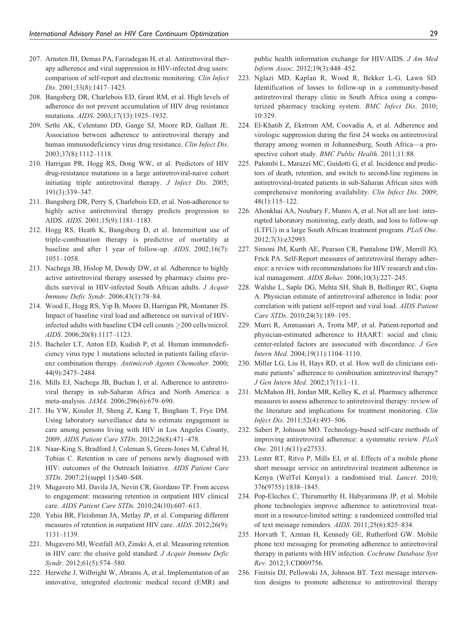- 207. Arnsten JH, Demas PA, Farzadegan H, et al. Antiretroviral therapy adherence and viral suppression in HIV-infected drug users: comparison of self-report and electronic monitoring. Clin Infect Dis. 2001;33(8):1417–1423.
- 208. Bangsberg DR, Charlebois ED, Grant RM, et al. High levels of adherence do not prevent accumulation of HIV drug resistance mutations. AIDS. 2003;17(13):1925–1932.
- 209. Sethi AK, Celentano DD, Gange SJ, Moore RD, Gallant JE. Association between adherence to antiretroviral therapy and human immunodeficiency virus drug resistance. Clin Infect Dis. 2003;37(8):1112–1118.
- 210. Harrigan PR, Hogg RS, Dong WW, et al. Predictors of HIV drug-resistance mutations in a large antiretroviral-naive cohort initiating triple antiretroviral therapy. *J Infect Dis.* 2005; 191(3):339–347.
- 211. Bangsberg DR, Perry S, Charlebois ED, et al. Non-adherence to highly active antiretroviral therapy predicts progression to AIDS. AIDS. 2001;15(9):1181–1183.
- 212. Hogg RS, Heath K, Bangsberg D, et al. Intermittent use of triple-combination therapy is predictive of mortality at baseline and after 1 year of follow-up. AIDS. 2002;16(7): 1051–1058.
- 213. Nachega JB, Hislop M, Dowdy DW, et al. Adherence to highly active antiretroviral therapy assessed by pharmacy claims predicts survival in HIV-infected South African adults. J Acquir Immune Defic Syndr. 2006;43(1):78–84.
- 214. Wood E, Hogg RS, Yip B, Moore D, Harrigan PR, Montaner JS. Impact of baseline viral load and adherence on survival of HIVinfected adults with baseline CD4 cell counts 200 cells/microl. AIDS. 2006;20(8):1117–1123.
- 215. Bacheler LT, Anton ED, Kudish P, et al. Human immunodeficiency virus type 1 mutations selected in patients failing efavirenz combination therapy. Antimicrob Agents Chemother. 2000; 44(9):2475–2484.
- 216. Mills EJ, Nachega JB, Buchan I, et al. Adherence to antiretroviral therapy in sub-Saharan Africa and North America: a meta-analysis. JAMA. 2006;296(6):679–690.
- 217. Hu YW, Kinsler JJ, Sheng Z, Kang T, Bingham T, Frye DM. Using laboratory surveillance data to estimate engagement in care among persons living with HIV in Los Angeles County, 2009. AIDS Patient Care STDs. 2012;26(8):471–478.
- 218. Naar-King S, Bradford J, Coleman S, Green-Jones M, Cabral H, Tobias C. Retention in care of persons newly diagnosed with HIV: outcomes of the Outreach Initiative. AIDS Patient Care STDs. 2007;21(suppl 1):S40–S48.
- 219. Mugavero MJ, Davila JA, Nevin CR, Giordano TP. From access to engagement: measuring retention in outpatient HIV clinical care. AIDS Patient Care STDs. 2010;24(10):607–613.
- 220. Yehia BR, Fleishman JA, Metlay JP, et al. Comparing different measures of retention in outpatient HIV care. AIDS. 2012;26(9): 1131–1139.
- 221. Mugavero MJ, Westfall AO, Zinski A, et al. Measuring retention in HIV care: the elusive gold standard. J Acquir Immune Defic Syndr. 2012;61(5):574–580.
- 222. Herwehe J, Wilbright W, Abrams A, et al. Implementation of an innovative, integrated electronic medical record (EMR) and

public health information exchange for HIV/AIDS. J Am Med Inform Assoc. 2012;19(3):448–452.

- 223. Nglazi MD, Kaplan R, Wood R, Bekker L-G, Lawn SD. Identification of losses to follow-up in a community-based antiretroviral therapy clinic in South Africa using a computerized pharmacy tracking system. BMC Infect Dis. 2010; 10:329.
- 224. El-Khatib Z, Ekstrom AM, Coovadia A, et al. Adherence and virologic suppression during the first 24 weeks on antiretroviral therapy among women in Johannesburg, South Africa—a prospective cohort study. BMC Public Health. 2011;11:88.
- 225. Palombi L, Marazzi MC, Guidotti G, et al. Incidence and predictors of death, retention, and switch to second-line regimens in antiretroviral-treated patients in sub-Saharan African sites with comprehensive monitoring availability. Clin Infect Dis. 2009; 48(1):115–122.
- 226. Ahonkhai AA, Noubary F, Munro A, et al. Not all are lost: interrupted laboratory monitoring, early death, and loss to follow-up (LTFU) in a large South African treatment program. PLoS One. 2012;7(3):e32993.
- 227. Simoni JM, Kurth AE, Pearson CR, Pantalone DW, Merrill JO, Frick PA. Self-Report measures of antiretroviral therapy adherence: a review with recommendations for HIV research and clinical management. AIDS Behav. 2006;10(3):227–245.
- 228. Walshe L, Saple DG, Mehta SH, Shah B, Bollinger RC, Gupta A. Physician estimate of antiretroviral adherence in India: poor correlation with patient self-report and viral load. AIDS Patient Care STDs. 2010;24(3):189–195.
- 229. Murri R, Ammassari A, Trotta MP, et al. Patient-reported and physician-estimated adherence to HAART: social and clinic center-related factors are associated with discordance. J Gen Intern Med. 2004;19(11):1104–1110.
- 230. Miller LG, Liu H, Hays RD, et al. How well do clinicians estimate patients' adherence to combination antiretroviral therapy? J Gen Intern Med. 2002;17(1):1–11.
- 231. McMahon JH, Jordan MR, Kelley K, et al. Pharmacy adherence measures to assess adherence to antiretroviral therapy: review of the literature and implications for treatment monitoring. Clin Infect Dis. 2011;52(4):493–506.
- 232. Saberi P, Johnson MO. Technology-based self-care methods of improving antiretroviral adherence: a systematic review. PLoS One. 2011;6(11):e27533.
- 233. Lester RT, Ritvo P, Mills EJ, et al. Effects of a mobile phone short message service on antiretroviral treatment adherence in Kenya (WelTel Kenya1): a randomised trial. Lancet. 2010; 376(9755):1838–1845.
- 234. Pop-Eleches C, Thirumurthy H, Habyarimana JP, et al. Mobile phone technologies improve adherence to antiretroviral treatment in a resource-limited setting: a randomized controlled trial of text message reminders. AIDS. 2011;25(6):825–834.
- 235. Horvath T, Azman H, Kennedy GE, Rutherford GW. Mobile phone text messaging for promoting adherence to antiretroviral therapy in patients with HIV infection. Cochrane Database Syst Rev. 2012;3:CD009756.
- 236. Finitsis DJ, Pellowski JA, Johnson BT. Text message intervention designs to promote adherence to antiretroviral therapy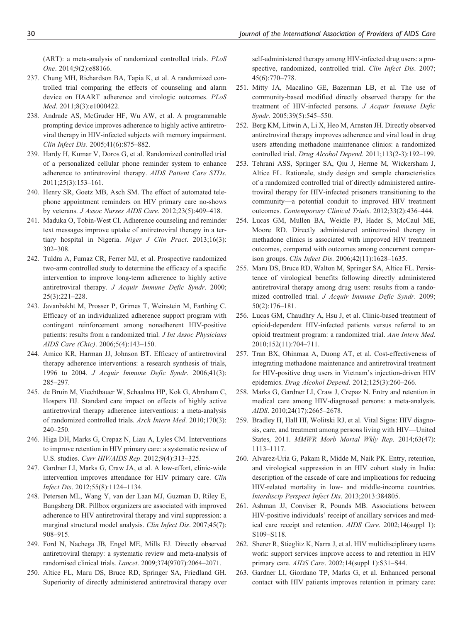(ART): a meta-analysis of randomized controlled trials. PLoS One. 2014;9(2):e88166.

- 237. Chung MH, Richardson BA, Tapia K, et al. A randomized controlled trial comparing the effects of counseling and alarm device on HAART adherence and virologic outcomes. PLoS Med. 2011;8(3):e1000422.
- 238. Andrade AS, McGruder HF, Wu AW, et al. A programmable prompting device improves adherence to highly active antiretroviral therapy in HIV-infected subjects with memory impairment. Clin Infect Dis. 2005;41(6):875–882.
- 239. Hardy H, Kumar V, Doros G, et al. Randomized controlled trial of a personalized cellular phone reminder system to enhance adherence to antiretroviral therapy. AIDS Patient Care STDs. 2011;25(3):153–161.
- 240. Henry SR, Goetz MB, Asch SM. The effect of automated telephone appointment reminders on HIV primary care no-shows by veterans. J Assoc Nurses AIDS Care. 2012;23(5):409–418.
- 241. Maduka O, Tobin-West CI. Adherence counseling and reminder text messages improve uptake of antiretroviral therapy in a tertiary hospital in Nigeria. Niger J Clin Pract. 2013;16(3): 302–308.
- 242. Tuldra A, Fumaz CR, Ferrer MJ, et al. Prospective randomized two-arm controlled study to determine the efficacy of a specific intervention to improve long-term adherence to highly active antiretroviral therapy. J Acquir Immune Defic Syndr. 2000; 25(3):221–228.
- 243. Javanbakht M, Prosser P, Grimes T, Weinstein M, Farthing C. Efficacy of an individualized adherence support program with contingent reinforcement among nonadherent HIV-positive patients: results from a randomized trial. J Int Assoc Physicians AIDS Care (Chic). 2006;5(4):143–150.
- 244. Amico KR, Harman JJ, Johnson BT. Efficacy of antiretroviral therapy adherence interventions: a research synthesis of trials, 1996 to 2004. J Acquir Immune Defic Syndr. 2006;41(3): 285–297.
- 245. de Bruin M, Viechtbauer W, Schaalma HP, Kok G, Abraham C, Hospers HJ. Standard care impact on effects of highly active antiretroviral therapy adherence interventions: a meta-analysis of randomized controlled trials. Arch Intern Med. 2010;170(3): 240–250.
- 246. Higa DH, Marks G, Crepaz N, Liau A, Lyles CM. Interventions to improve retention in HIV primary care: a systematic review of U.S. studies. Curr HIV/AIDS Rep. 2012;9(4):313–325.
- 247. Gardner LI, Marks G, Craw JA, et al. A low-effort, clinic-wide intervention improves attendance for HIV primary care. Clin Infect Dis. 2012;55(8):1124–1134.
- 248. Petersen ML, Wang Y, van der Laan MJ, Guzman D, Riley E, Bangsberg DR. Pillbox organizers are associated with improved adherence to HIV antiretroviral therapy and viral suppression: a marginal structural model analysis. Clin Infect Dis. 2007;45(7): 908–915.
- 249. Ford N, Nachega JB, Engel ME, Mills EJ. Directly observed antiretroviral therapy: a systematic review and meta-analysis of randomised clinical trials. Lancet. 2009;374(9707):2064–2071.
- 250. Altice FL, Maru DS, Bruce RD, Springer SA, Friedland GH. Superiority of directly administered antiretroviral therapy over

self-administered therapy among HIV-infected drug users: a prospective, randomized, controlled trial. Clin Infect Dis. 2007; 45(6):770–778.

- 251. Mitty JA, Macalino GE, Bazerman LB, et al. The use of community-based modified directly observed therapy for the treatment of HIV-infected persons. J Acquir Immune Defic Syndr. 2005;39(5):545–550.
- 252. Berg KM, Litwin A, Li X, Heo M, Arnsten JH. Directly observed antiretroviral therapy improves adherence and viral load in drug users attending methadone maintenance clinics: a randomized controlled trial. Drug Alcohol Depend. 2011;113(2-3):192–199.
- 253. Tehrani ASS, Springer SA, Qiu J, Herme M, Wickersham J, Altice FL. Rationale, study design and sample characteristics of a randomized controlled trial of directly administered antiretroviral therapy for HIV-infected prisoners transitioning to the community—a potential conduit to improved HIV treatment outcomes. Contemporary Clinical Trials. 2012;33(2):436–444.
- 254. Lucas GM, Mullen BA, Weidle PJ, Hader S, McCaul ME, Moore RD. Directly administered antiretroviral therapy in methadone clinics is associated with improved HIV treatment outcomes, compared with outcomes among concurrent comparison groups. Clin Infect Dis. 2006;42(11):1628–1635.
- 255. Maru DS, Bruce RD, Walton M, Springer SA, Altice FL. Persistence of virological benefits following directly administered antiretroviral therapy among drug users: results from a randomized controlled trial. J Acquir Immune Defic Syndr. 2009; 50(2):176–181.
- 256. Lucas GM, Chaudhry A, Hsu J, et al. Clinic-based treatment of opioid-dependent HIV-infected patients versus referral to an opioid treatment program: a randomized trial. Ann Intern Med. 2010;152(11):704–711.
- 257. Tran BX, Ohinmaa A, Duong AT, et al. Cost-effectiveness of integrating methadone maintenance and antiretroviral treatment for HIV-positive drug users in Vietnam's injection-driven HIV epidemics. Drug Alcohol Depend. 2012;125(3):260–266.
- 258. Marks G, Gardner LI, Craw J, Crepaz N. Entry and retention in medical care among HIV-diagnosed persons: a meta-analysis. AIDS. 2010;24(17):2665–2678.
- 259. Bradley H, Hall HI, Wolitski RJ, et al. Vital Signs: HIV diagnosis, care, and treatment among persons living with HIV—United States, 2011. MMWR Morb Mortal Wkly Rep. 2014;63(47): 1113–1117.
- 260. Alvarez-Uria G, Pakam R, Midde M, Naik PK. Entry, retention, and virological suppression in an HIV cohort study in India: description of the cascade of care and implications for reducing HIV-related mortality in low- and middle-income countries. Interdiscip Perspect Infect Dis. 2013;2013:384805.
- 261. Ashman JJ, Conviser R, Pounds MB. Associations between HIV-positive individuals' receipt of ancillary services and medical care receipt and retention. AIDS Care. 2002;14(suppl 1): S109–S118.
- 262. Sherer R, Stieglitz K, Narra J, et al. HIV multidisciplinary teams work: support services improve access to and retention in HIV primary care. AIDS Care. 2002;14(suppl 1):S31–S44.
- 263. Gardner LI, Giordano TP, Marks G, et al. Enhanced personal contact with HIV patients improves retention in primary care: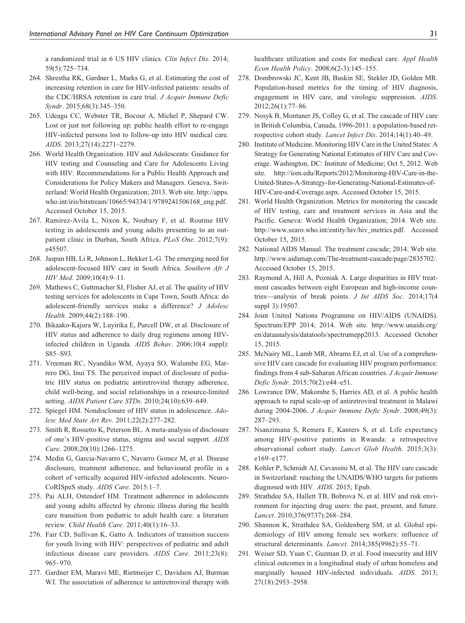a randomized trial in 6 US HIV clinics. Clin Infect Dis. 2014; 59(5):725–734.

- 264. Shrestha RK, Gardner L, Marks G, et al. Estimating the cost of increasing retention in care for HIV-infected patients: results of the CDC/HRSA retention in care trial. J Acquir Immune Defic Syndr. 2015;68(3):345–350.
- 265. Udeagu CC, Webster TR, Bocour A, Michel P, Shepard CW. Lost or just not following up: public health effort to re-engage HIV-infected persons lost to follow-up into HIV medical care. AIDS. 2013;27(14):2271–2279.
- 266. World Health Organization. HIV and Adolescents: Guidance for HIV testing and Counseling and Care for Adolescents Living with HIV: Recommendations for a Public Health Approach and Considerations for Policy Makers and Managers. Geneva, Switzerland: World Health Organization; 2013. Web site. [http://apps.](http://apps.who.int/iris/bitstream/10665/94334/1/9789241506168_eng.pdf) [who.int/iris/bitstream/10665/94334/1/9789241506168\\_eng.pdf.](http://apps.who.int/iris/bitstream/10665/94334/1/9789241506168_eng.pdf) Accessed October 15, 2015.
- 267. Ramirez-Avila L, Nixon K, Noubary F, et al. Routine HIV testing in adolescents and young adults presenting to an outpatient clinic in Durban, South Africa. PLoS One. 2012;7(9): e45507.
- 268. Jaspan HB, Li R, Johnson L, Bekker L-G. The emerging need for adolescent-focused HIV care in South Africa. Southern Afr J HIV Med. 2009;10(4):9–11.
- 269. Mathews C, Guttmacher SJ, Flisher AJ, et al. The quality of HIV testing services for adolescents in Cape Town, South Africa: do adolescent-friendly services make a difference? J Adolesc Health. 2009;44(2):188–190.
- 270. Bikaako-Kajura W, Luyirika E, Purcell DW, et al. Disclosure of HIV status and adherence to daily drug regimens among HIVinfected children in Uganda. AIDS Behav. 2006;10(4 suppl): S85–S93.
- 271. Vreeman RC, Nyandiko WM, Ayaya SO, Walumbe EG, Marrero DG, Inui TS. The perceived impact of disclosure of pediatric HIV status on pediatric antiretroviral therapy adherence, child well-being, and social relationships in a resource-limited setting. AIDS Patient Care STDs. 2010;24(10):639–649.
- 272. Spiegel HM. Nondisclosure of HIV status in adolescence. Adolesc Med State Art Rev. 2011;22(2):277–282.
- 273. Smith R, Rossetto K, Peterson BL. A meta-analysis of disclosure of one's HIV-positive status, stigma and social support. AIDS Care. 2008;20(10):1266–1275.
- 274. Medin G, Garcia-Navarro C, Navarro Gomez M, et al. Disease disclosure, treatment adherence, and behavioural profile in a cohort of vertically acquired HIV-infected adolescents. Neuro-CoRISpeS study. AIDS Care. 2015:1–7.
- 275. Pai ALH, Ostendorf HM. Treatment adherence in adolescents and young adults affected by chronic illness during the health care transition from pediatric to adult health care: a literature review. Child Health Care. 2011;40(1):16–33.
- 276. Fair CD, Sullivan K, Gatto A. Indicators of transition success for youth living with HIV: perspectives of pediatric and adult infectious disease care providers. AIDS Care. 2011;23(8): 965–970.
- 277. Gardner EM, Maravi ME, Rietmeijer C, Davidson AJ, Burman WJ. The association of adherence to antiretroviral therapy with

healthcare utilization and costs for medical care. Appl Health Econ Health Policy. 2008;6(2-3):145–155.

- 278. Dombrowski JC, Kent JB, Buskin SE, Stekler JD, Golden MR. Population-based metrics for the timing of HIV diagnosis, engagement in HIV care, and virologic suppression. AIDS. 2012;26(1):77–86.
- 279. Nosyk B, Montaner JS, Colley G, et al. The cascade of HIV care in British Columbia, Canada, 1996-2011: a population-based retrospective cohort study. Lancet Infect Dis. 2014;14(1):40–49.
- 280. Institute of Medicine. Monitoring HIV Care in the United States: A Strategy for Generating National Estimates of HIV Care and Coverage. Washington, DC: Institute of Medicine; Oct 5, 2012. Web site. [http://iom.edu/Reports/2012/Monitoring-HIV-Care-in-the-](http://iom.edu/Reports/2012/Monitoring-HIV-Care-in-the-United-States-A-Strategy-for-Generating-National-Estimates-of-HIV-Care-and-Coverage.aspx)[United-States-A-Strategy-for-Generating-National-Estimates-of-](http://iom.edu/Reports/2012/Monitoring-HIV-Care-in-the-United-States-A-Strategy-for-Generating-National-Estimates-of-HIV-Care-and-Coverage.aspx)[HIV-Care-and-Coverage.aspx.](http://iom.edu/Reports/2012/Monitoring-HIV-Care-in-the-United-States-A-Strategy-for-Generating-National-Estimates-of-HIV-Care-and-Coverage.aspx) Accessed October 15, 2015.
- 281. World Health Organization. Metrics for monitoring the cascade of HIV testing, care and treatment services in Asia and the Pacific. Geneva: World Health Organization; 2014. Web site. [http://www.searo.who.int/entity/hiv/hiv\\_metrics.pdf.](http://www.searo.who.int/entity/hiv/hiv_metrics.pdf) Accessed October 15, 2015.
- 282. National AIDS Manual. The treatment cascade; 2014. Web site. <http://www.aidsmap.com/The-treatment-cascade/page/2835702/>. Accessed October 15, 2015.
- 283. Raymond A, Hill A, Pozniak A. Large disparities in HIV treatment cascades between eight European and high-income countries—analysis of break points. J Int AIDS Soc. 2014;17(4 suppl 3):19507.
- 284. Joint United Nations Programme on HIV/AIDS (UNAIDS). Spectrum/EPP 2014; 2014. Web site. [http://www.unaids.org/](http://www.unaids.org/en/dataanalysis/datatools/spectrumepp2013) [en/dataanalysis/datatools/spectrumepp2013.](http://www.unaids.org/en/dataanalysis/datatools/spectrumepp2013) Accessed October 15, 2015.
- 285. McNairy ML, Lamb MR, Abrams EJ, et al. Use of a comprehensive HIV care cascade for evaluating HIV program performance: findings from 4 sub-Saharan African countries. J Acquir Immune Defic Syndr. 2015;70(2):e44–e51.
- 286. Lowrance DW, Makombe S, Harries AD, et al. A public health approach to rapid scale-up of antiretroviral treatment in Malawi during 2004-2006. J Acquir Immune Defic Syndr. 2008;49(3): 287–293.
- 287. Nsanzimana S, Remera E, Kanters S, et al. Life expectancy among HIV-positive patients in Rwanda: a retrospective observational cohort study. Lancet Glob Health. 2015;3(3): e169–e177.
- 288. Kohler P, Schmidt AJ, Cavassini M, et al. The HIV care cascade in Switzerland: reaching the UNAIDS/WHO targets for patients diagnosed with HIV. AIDS. 2015; Epub.
- 289. Strathdee SA, Hallett TB, Bobrova N, et al. HIV and risk environment for injecting drug users: the past, present, and future. Lancet. 2010;376(9737):268–284.
- 290. Shannon K, Strathdee SA, Goldenberg SM, et al. Global epidemiology of HIV among female sex workers: influence of structural determinants. Lancet. 2014;385(9962):55–71.
- 291. Weiser SD, Yuan C, Guzman D, et al. Food insecurity and HIV clinical outcomes in a longitudinal study of urban homeless and marginally housed HIV-infected individuals. AIDS. 2013; 27(18):2953–2958.